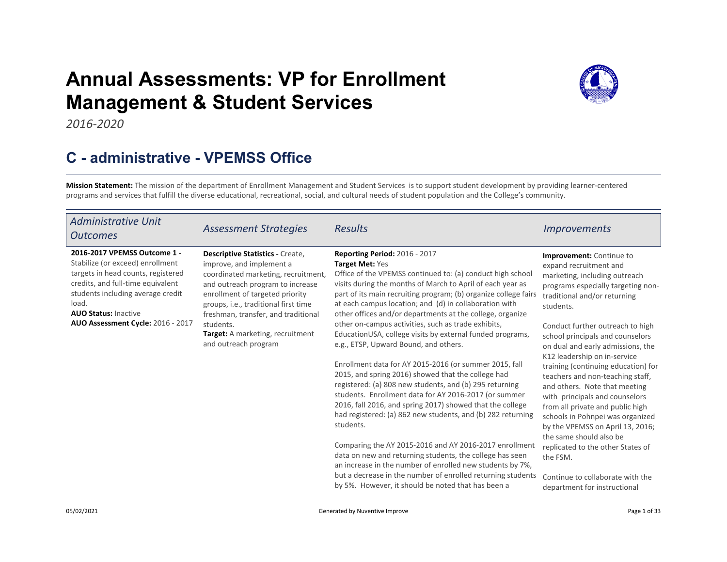# Annual Assessments: VP for Enrollment Management & Student Services



2016-2020

# C - administrative - VPEMSS Office

Mission Statement: The mission of the department of Enrollment Management and Student Services is to support student development by providing learner-centered programs and services that fulfill the diverse educational, recreational, social, and cultural needs of student population and the College's community.

| <b>Administrative Unit</b><br><b>Outcomes</b>                                                                                                                                                                                                                 | <b>Assessment Strategies</b>                                                                                                                                                                                                                                                                                                              | <b>Results</b>                                                                                                                                                                                                                                                                                                                                                                                                                       | <i>Improvements</i>                                                                                                                                                                                                                                                               |
|---------------------------------------------------------------------------------------------------------------------------------------------------------------------------------------------------------------------------------------------------------------|-------------------------------------------------------------------------------------------------------------------------------------------------------------------------------------------------------------------------------------------------------------------------------------------------------------------------------------------|--------------------------------------------------------------------------------------------------------------------------------------------------------------------------------------------------------------------------------------------------------------------------------------------------------------------------------------------------------------------------------------------------------------------------------------|-----------------------------------------------------------------------------------------------------------------------------------------------------------------------------------------------------------------------------------------------------------------------------------|
| 2016-2017 VPEMSS Outcome 1 -<br>Stabilize (or exceed) enrollment<br>targets in head counts, registered<br>credits, and full-time equivalent<br>students including average credit<br>load.<br><b>AUO Status: Inactive</b><br>AUO Assessment Cycle: 2016 - 2017 | <b>Descriptive Statistics - Create,</b><br>improve, and implement a<br>coordinated marketing, recruitment,<br>and outreach program to increase<br>enrollment of targeted priority<br>groups, i.e., traditional first time<br>freshman, transfer, and traditional<br>students.<br>Target: A marketing, recruitment<br>and outreach program | <b>Reporting Period: 2016 - 2017</b><br>Target Met: Yes<br>Office of the VPEMSS continued to: (a) conduct high school<br>visits during the months of March to April of each year as<br>part of its main recruiting program; (b) organize college fairs<br>at each campus location; and (d) in collaboration with<br>other offices and/or departments at the college, organize<br>other on-campus activities, such as trade exhibits, | <b>Improvement:</b> Continue to<br>expand recruitment and<br>marketing, including outreach<br>programs especially targeting non-<br>traditional and/or returning<br>students.                                                                                                     |
|                                                                                                                                                                                                                                                               |                                                                                                                                                                                                                                                                                                                                           | EducationUSA, college visits by external funded programs,<br>e.g., ETSP, Upward Bound, and others.                                                                                                                                                                                                                                                                                                                                   | Conduct further outreach to high<br>school principals and counselors<br>on dual and early admissions, the<br>K12 leadership on in-service                                                                                                                                         |
|                                                                                                                                                                                                                                                               |                                                                                                                                                                                                                                                                                                                                           | Enrollment data for AY 2015-2016 (or summer 2015, fall<br>2015, and spring 2016) showed that the college had<br>registered: (a) 808 new students, and (b) 295 returning<br>students. Enrollment data for AY 2016-2017 (or summer<br>2016, fall 2016, and spring 2017) showed that the college<br>had registered: (a) 862 new students, and (b) 282 returning<br>students.                                                            | training (continuing education) for<br>teachers and non-teaching staff,<br>and others. Note that meeting<br>with principals and counselors<br>from all private and public high<br>schools in Pohnpei was organized<br>by the VPEMSS on April 13, 2016;<br>the same should also be |
|                                                                                                                                                                                                                                                               |                                                                                                                                                                                                                                                                                                                                           | Comparing the AY 2015-2016 and AY 2016-2017 enrollment<br>data on new and returning students, the college has seen<br>an increase in the number of enrolled new students by 7%,                                                                                                                                                                                                                                                      | replicated to the other States of<br>the FSM.                                                                                                                                                                                                                                     |
|                                                                                                                                                                                                                                                               |                                                                                                                                                                                                                                                                                                                                           | but a decrease in the number of enrolled returning students<br>by 5%. However, it should be noted that has been a                                                                                                                                                                                                                                                                                                                    | Continue to collaborate with the<br>department for instructional                                                                                                                                                                                                                  |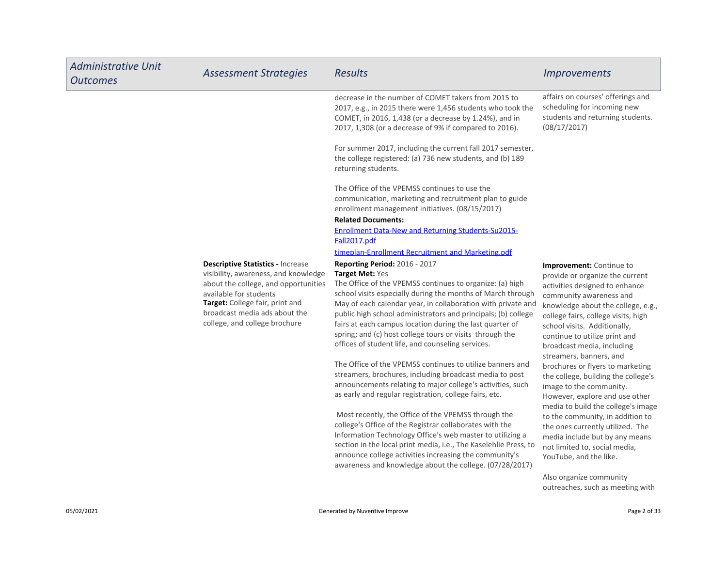| <b>Administrative Unit</b><br><b>Outcomes</b> | <b>Assessment Strategies</b>                                                                                                                                                                                                                            | <b>Results</b>                                                                                                                                                                                                                                                                                                                                                                                                                                                                                                                                                                                                                                                                                                                                                                                                                                                                                                                                                                                                                                                                                                    | <b>Improvements</b>                                                                                                                                                                                                                                                                                                                                                                                                                                                                                                                                                                                                                                                                                           |
|-----------------------------------------------|---------------------------------------------------------------------------------------------------------------------------------------------------------------------------------------------------------------------------------------------------------|-------------------------------------------------------------------------------------------------------------------------------------------------------------------------------------------------------------------------------------------------------------------------------------------------------------------------------------------------------------------------------------------------------------------------------------------------------------------------------------------------------------------------------------------------------------------------------------------------------------------------------------------------------------------------------------------------------------------------------------------------------------------------------------------------------------------------------------------------------------------------------------------------------------------------------------------------------------------------------------------------------------------------------------------------------------------------------------------------------------------|---------------------------------------------------------------------------------------------------------------------------------------------------------------------------------------------------------------------------------------------------------------------------------------------------------------------------------------------------------------------------------------------------------------------------------------------------------------------------------------------------------------------------------------------------------------------------------------------------------------------------------------------------------------------------------------------------------------|
|                                               |                                                                                                                                                                                                                                                         | decrease in the number of COMET takers from 2015 to<br>2017, e.g., in 2015 there were 1,456 students who took the<br>COMET, in 2016, 1,438 (or a decrease by 1.24%), and in<br>2017, 1,308 (or a decrease of 9% if compared to 2016).                                                                                                                                                                                                                                                                                                                                                                                                                                                                                                                                                                                                                                                                                                                                                                                                                                                                             | affairs on courses' offerings and<br>scheduling for incoming new<br>students and returning students.<br>(08/17/2017)                                                                                                                                                                                                                                                                                                                                                                                                                                                                                                                                                                                          |
|                                               |                                                                                                                                                                                                                                                         | For summer 2017, including the current fall 2017 semester,<br>the college registered: (a) 736 new students, and (b) 189<br>returning students.                                                                                                                                                                                                                                                                                                                                                                                                                                                                                                                                                                                                                                                                                                                                                                                                                                                                                                                                                                    |                                                                                                                                                                                                                                                                                                                                                                                                                                                                                                                                                                                                                                                                                                               |
|                                               |                                                                                                                                                                                                                                                         | The Office of the VPEMSS continues to use the<br>communication, marketing and recruitment plan to guide<br>enrollment management initiatives. (08/15/2017)                                                                                                                                                                                                                                                                                                                                                                                                                                                                                                                                                                                                                                                                                                                                                                                                                                                                                                                                                        |                                                                                                                                                                                                                                                                                                                                                                                                                                                                                                                                                                                                                                                                                                               |
|                                               |                                                                                                                                                                                                                                                         | <b>Related Documents:</b>                                                                                                                                                                                                                                                                                                                                                                                                                                                                                                                                                                                                                                                                                                                                                                                                                                                                                                                                                                                                                                                                                         |                                                                                                                                                                                                                                                                                                                                                                                                                                                                                                                                                                                                                                                                                                               |
|                                               |                                                                                                                                                                                                                                                         | <b>Enrollment Data-New and Returning Students-Su2015-</b><br>Fall2017.pdf                                                                                                                                                                                                                                                                                                                                                                                                                                                                                                                                                                                                                                                                                                                                                                                                                                                                                                                                                                                                                                         |                                                                                                                                                                                                                                                                                                                                                                                                                                                                                                                                                                                                                                                                                                               |
|                                               |                                                                                                                                                                                                                                                         | timeplan-Enrollment Recruitment and Marketing.pdf                                                                                                                                                                                                                                                                                                                                                                                                                                                                                                                                                                                                                                                                                                                                                                                                                                                                                                                                                                                                                                                                 |                                                                                                                                                                                                                                                                                                                                                                                                                                                                                                                                                                                                                                                                                                               |
|                                               | <b>Descriptive Statistics - Increase</b><br>visibility, awareness, and knowledge<br>about the college, and opportunities<br>available for students<br>Target: College fair, print and<br>broadcast media ads about the<br>college, and college brochure | Reporting Period: 2016 - 2017<br>Target Met: Yes<br>The Office of the VPEMSS continues to organize: (a) high<br>school visits especially during the months of March through<br>May of each calendar year, in collaboration with private and<br>public high school administrators and principals; (b) college<br>fairs at each campus location during the last quarter of<br>spring; and (c) host college tours or visits through the<br>offices of student life, and counseling services.<br>The Office of the VPEMSS continues to utilize banners and<br>streamers, brochures, including broadcast media to post<br>announcements relating to major college's activities, such<br>as early and regular registration, college fairs, etc.<br>Most recently, the Office of the VPEMSS through the<br>college's Office of the Registrar collaborates with the<br>Information Technology Office's web master to utilizing a<br>section in the local print media, i.e., The Kaselehlie Press, to<br>announce college activities increasing the community's<br>awareness and knowledge about the college. (07/28/2017) | Improvement: Continue to<br>provide or organize the current<br>activities designed to enhance<br>community awareness and<br>knowledge about the college, e.g.,<br>college fairs, college visits, high<br>school visits. Additionally,<br>continue to utilize print and<br>broadcast media, including<br>streamers, banners, and<br>brochures or flyers to marketing<br>the college, building the college's<br>image to the community.<br>However, explore and use other<br>media to build the college's image<br>to the community, in addition to<br>the ones currently utilized. The<br>media include but by any means<br>not limited to, social media,<br>YouTube, and the like.<br>Also organize community |
|                                               |                                                                                                                                                                                                                                                         |                                                                                                                                                                                                                                                                                                                                                                                                                                                                                                                                                                                                                                                                                                                                                                                                                                                                                                                                                                                                                                                                                                                   | outreaches, such as meeting with                                                                                                                                                                                                                                                                                                                                                                                                                                                                                                                                                                                                                                                                              |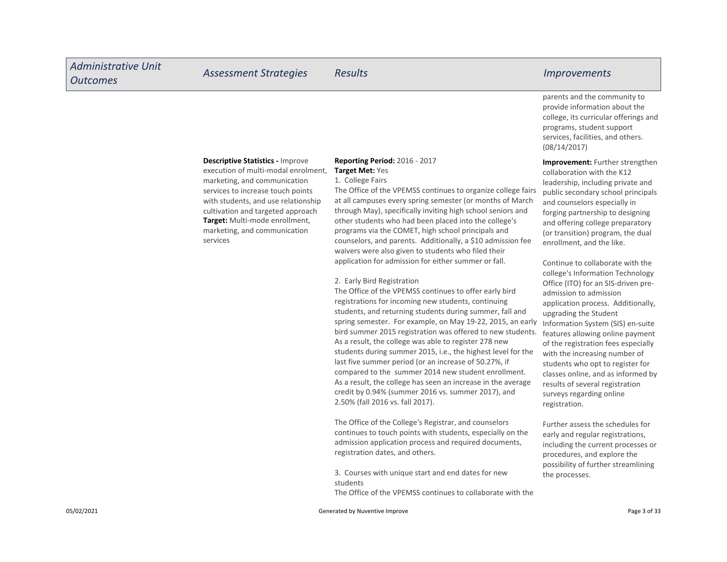### Descriptive Statistics - Improve

Target: Multi-mode enrollment, marketing, and communication services execution of multi-modal enrolment, marketing, and communication services to increase touch points with students, and use relationship cultivation and targeted approach

#### Reporting Period: 2016 - 2017 Target Met: Yes

#### 1. College Fairs

The Office of the VPEMSS continues to organize college fairs at all campuses every spring semester (or months of March through May), specifically inviting high school seniors and other students who had been placed into the college's programs via the COMET, high school principals and counselors, and parents. Additionally, a \$10 admission fee waivers were also given to students who filed their application for admission for either summer or fall.

2. Early Bird Registration

The Office of the VPEMSS continues to offer early bird registrations for incoming new students, continuing students, and returning students during summer, fall and spring semester. For example, on May 19-22, 2015, an early bird summer 2015 registration was offered to new students. As a result, the college was able to register 278 new students during summer 2015, i.e., the highest level for the last five summer period (or an increase of 50.27%, if compared to the summer 2014 new student enrollment. As a result, the college has seen an increase in the average credit by 0.94% (summer 2016 vs. summer 2017), and 2.50% (fall 2016 vs. fall 2017).

The Office of the College's Registrar, and counselors continues to touch points with students, especially on the admission application process and required documents, registration dates, and others.

3. Courses with unique start and end dates for new students

The Office of the VPEMSS continues to collaborate with the

parents and the community to provide information about the college, its curricular offerings and programs, student support services, facilities, and others. (08/14/2017)

Improvement: Further strengthen collaboration with the K12 leadership, including private and public secondary school principals and counselors especially in forging partnership to designing and offering college preparatory (or transition) program, the dual enrollment, and the like.

Continue to collaborate with the college's Information Technology Office (ITO) for an SIS-driven preadmission to admission application process. Additionally, upgrading the Student Information System (SIS) en-suite features allowing online payment of the registration fees especially with the increasing number of students who opt to register for classes online, and as informed by results of several registration surveys regarding online registration.

Further assess the schedules for early and regular registrations, including the current processes or procedures, and explore the possibility of further streamlining the processes.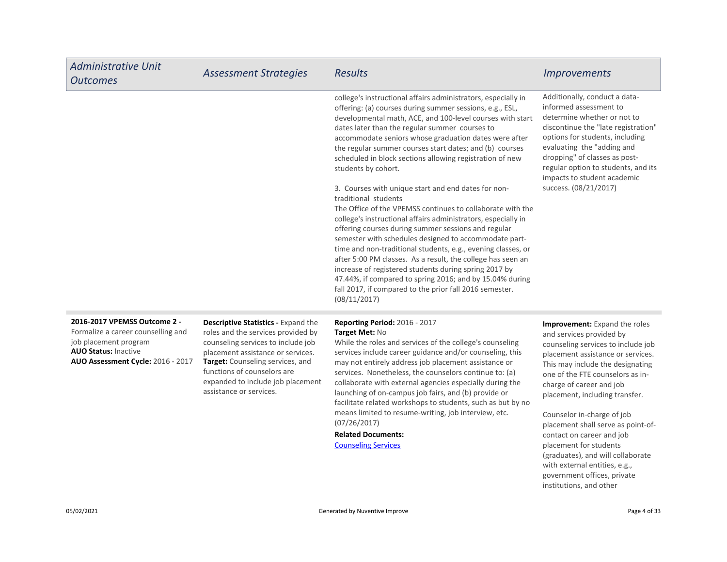| <b>Administrative Unit</b><br><b>Outcomes</b>                                                                                                                   | <b>Assessment Strategies</b>                                                                                                                                                                                                                                                                   | <b>Results</b>                                                                                                                                                                                                                                                                                                                                                                                                                                                                                                                                                                                                                                                                                                                                                                                                                                                                                                                                                                                                                                                                                               | <i><b>Improvements</b></i>                                                                                                                                                                                                                                                                                                                                                                                                                                                  |
|-----------------------------------------------------------------------------------------------------------------------------------------------------------------|------------------------------------------------------------------------------------------------------------------------------------------------------------------------------------------------------------------------------------------------------------------------------------------------|--------------------------------------------------------------------------------------------------------------------------------------------------------------------------------------------------------------------------------------------------------------------------------------------------------------------------------------------------------------------------------------------------------------------------------------------------------------------------------------------------------------------------------------------------------------------------------------------------------------------------------------------------------------------------------------------------------------------------------------------------------------------------------------------------------------------------------------------------------------------------------------------------------------------------------------------------------------------------------------------------------------------------------------------------------------------------------------------------------------|-----------------------------------------------------------------------------------------------------------------------------------------------------------------------------------------------------------------------------------------------------------------------------------------------------------------------------------------------------------------------------------------------------------------------------------------------------------------------------|
|                                                                                                                                                                 |                                                                                                                                                                                                                                                                                                | college's instructional affairs administrators, especially in<br>offering: (a) courses during summer sessions, e.g., ESL,<br>developmental math, ACE, and 100-level courses with start<br>dates later than the regular summer courses to<br>accommodate seniors whose graduation dates were after<br>the regular summer courses start dates; and (b) courses<br>scheduled in block sections allowing registration of new<br>students by cohort.<br>3. Courses with unique start and end dates for non-<br>traditional students<br>The Office of the VPEMSS continues to collaborate with the<br>college's instructional affairs administrators, especially in<br>offering courses during summer sessions and regular<br>semester with schedules designed to accommodate part-<br>time and non-traditional students, e.g., evening classes, or<br>after 5:00 PM classes. As a result, the college has seen an<br>increase of registered students during spring 2017 by<br>47.44%, if compared to spring 2016; and by 15.04% during<br>fall 2017, if compared to the prior fall 2016 semester.<br>(08/11/2017) | Additionally, conduct a data-<br>informed assessment to<br>determine whether or not to<br>discontinue the "late registration"<br>options for students, including<br>evaluating the "adding and<br>dropping" of classes as post-<br>regular option to students, and its<br>impacts to student academic<br>success. (08/21/2017)                                                                                                                                              |
| 2016-2017 VPEMSS Outcome 2 -<br>Formalize a career counselling and<br>job placement program<br><b>AUO Status: Inactive</b><br>AUO Assessment Cycle: 2016 - 2017 | <b>Descriptive Statistics - Expand the</b><br>roles and the services provided by<br>counseling services to include job<br>placement assistance or services.<br>Target: Counseling services, and<br>functions of counselors are<br>expanded to include job placement<br>assistance or services. | Reporting Period: 2016 - 2017<br>Target Met: No<br>While the roles and services of the college's counseling<br>services include career guidance and/or counseling, this<br>may not entirely address job placement assistance or<br>services. Nonetheless, the counselors continue to: (a)<br>collaborate with external agencies especially during the<br>launching of on-campus job fairs, and (b) provide or<br>facilitate related workshops to students, such as but by no<br>means limited to resume-writing, job interview, etc.<br>(07/26/2017)<br><b>Related Documents:</b><br><b>Counseling Services</b>                                                                                                                                                                                                                                                                                                                                                                                                                                                                                              | Improvement: Expand the roles<br>and services provided by<br>counseling services to include job<br>placement assistance or services.<br>This may include the designating<br>one of the FTE counselors as in-<br>charge of career and job<br>placement, including transfer.<br>Counselor in-charge of job<br>placement shall serve as point-of-<br>contact on career and job<br>placement for students<br>(graduates), and will collaborate<br>with external entities, e.g., |

government offices, private institutions, and other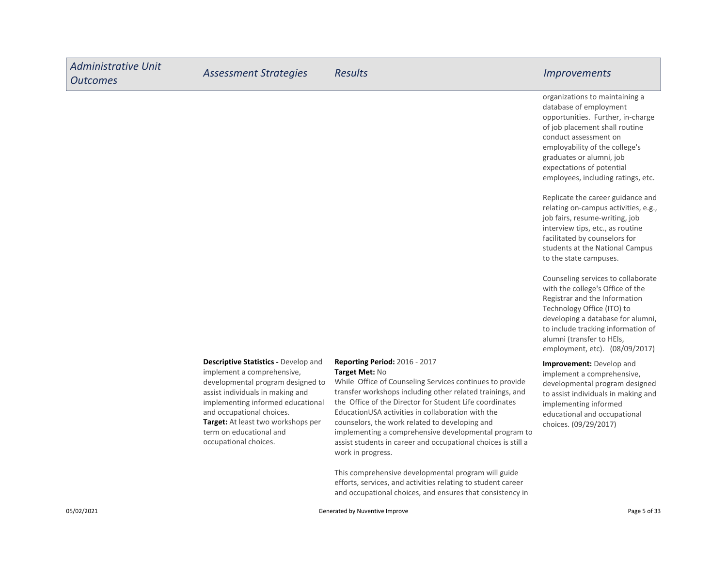| <b>Administrative Unit</b><br><b>Outcomes</b> | <b>Assessment Strategies</b>                                                                                                                                                                                                                                                                                   | <b>Results</b>                                                                                                                                                                                                                                                                                                                                                                                                                                                                                   | <b>Improvements</b>                                                                                                                                                                                                                                                                       |
|-----------------------------------------------|----------------------------------------------------------------------------------------------------------------------------------------------------------------------------------------------------------------------------------------------------------------------------------------------------------------|--------------------------------------------------------------------------------------------------------------------------------------------------------------------------------------------------------------------------------------------------------------------------------------------------------------------------------------------------------------------------------------------------------------------------------------------------------------------------------------------------|-------------------------------------------------------------------------------------------------------------------------------------------------------------------------------------------------------------------------------------------------------------------------------------------|
|                                               |                                                                                                                                                                                                                                                                                                                |                                                                                                                                                                                                                                                                                                                                                                                                                                                                                                  | organizations to maintaining a<br>database of employment<br>opportunities. Further, in-charge<br>of job placement shall routine<br>conduct assessment on<br>employability of the college's<br>graduates or alumni, job<br>expectations of potential<br>employees, including ratings, etc. |
|                                               |                                                                                                                                                                                                                                                                                                                |                                                                                                                                                                                                                                                                                                                                                                                                                                                                                                  | Replicate the career guidance and<br>relating on-campus activities, e.g.,<br>job fairs, resume-writing, job<br>interview tips, etc., as routine<br>facilitated by counselors for<br>students at the National Campus<br>to the state campuses.                                             |
|                                               |                                                                                                                                                                                                                                                                                                                |                                                                                                                                                                                                                                                                                                                                                                                                                                                                                                  | Counseling services to collaborate<br>with the college's Office of the<br>Registrar and the Information<br>Technology Office (ITO) to<br>developing a database for alumni,<br>to include tracking information of<br>alumni (transfer to HEIs,<br>employment, etc). (08/09/2017)           |
|                                               | <b>Descriptive Statistics - Develop and</b><br>implement a comprehensive,<br>developmental program designed to<br>assist individuals in making and<br>implementing informed educational<br>and occupational choices.<br>Target: At least two workshops per<br>term on educational and<br>occupational choices. | <b>Reporting Period: 2016 - 2017</b><br>Target Met: No<br>While Office of Counseling Services continues to provide<br>transfer workshops including other related trainings, and<br>the Office of the Director for Student Life coordinates<br>EducationUSA activities in collaboration with the<br>counselors, the work related to developing and<br>implementing a comprehensive developmental program to<br>assist students in career and occupational choices is still a<br>work in progress. | Improvement: Develop and<br>implement a comprehensive,<br>developmental program designed<br>to assist individuals in making and<br>implementing informed<br>educational and occupational<br>choices. (09/29/2017)                                                                         |
|                                               |                                                                                                                                                                                                                                                                                                                | This comprehensive developmental program will guide<br>efforts, services, and activities relating to student career<br>and occupational choices, and ensures that consistency in                                                                                                                                                                                                                                                                                                                 |                                                                                                                                                                                                                                                                                           |

г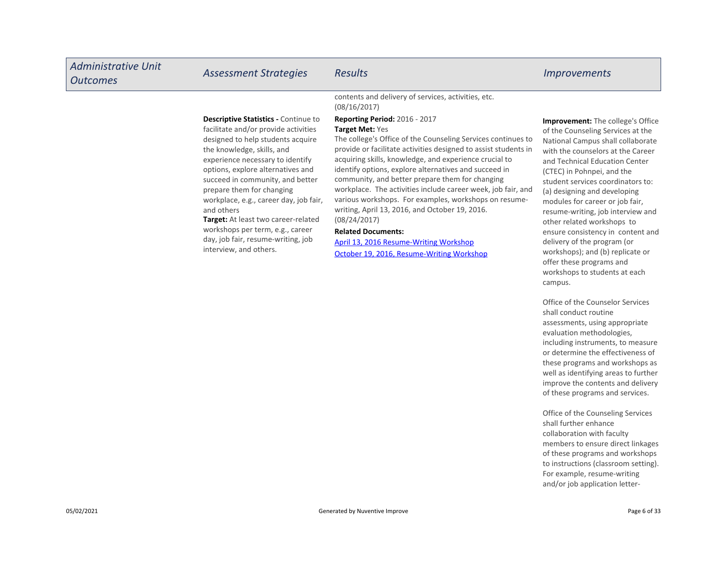| <b>Administrative Unit</b><br><b>Outcomes</b> | <b>Assessment Strategies</b>                                                                                                                                                                                                                                                                                                                                                                                                                                                                        | <b>Results</b>                                                                                                                                                                                                                                                                                                                                                                                                                                                                                                                                                                                                                                                                         | <i><u><b>Improvements</b></u></i>                                                                                                                                                                                                                                                                                                                                                                                                                                                                                                                                       |
|-----------------------------------------------|-----------------------------------------------------------------------------------------------------------------------------------------------------------------------------------------------------------------------------------------------------------------------------------------------------------------------------------------------------------------------------------------------------------------------------------------------------------------------------------------------------|----------------------------------------------------------------------------------------------------------------------------------------------------------------------------------------------------------------------------------------------------------------------------------------------------------------------------------------------------------------------------------------------------------------------------------------------------------------------------------------------------------------------------------------------------------------------------------------------------------------------------------------------------------------------------------------|-------------------------------------------------------------------------------------------------------------------------------------------------------------------------------------------------------------------------------------------------------------------------------------------------------------------------------------------------------------------------------------------------------------------------------------------------------------------------------------------------------------------------------------------------------------------------|
|                                               |                                                                                                                                                                                                                                                                                                                                                                                                                                                                                                     | contents and delivery of services, activities, etc.<br>(08/16/2017)                                                                                                                                                                                                                                                                                                                                                                                                                                                                                                                                                                                                                    |                                                                                                                                                                                                                                                                                                                                                                                                                                                                                                                                                                         |
|                                               | <b>Descriptive Statistics - Continue to</b><br>facilitate and/or provide activities<br>designed to help students acquire<br>the knowledge, skills, and<br>experience necessary to identify<br>options, explore alternatives and<br>succeed in community, and better<br>prepare them for changing<br>workplace, e.g., career day, job fair,<br>and others<br>Target: At least two career-related<br>workshops per term, e.g., career<br>day, job fair, resume-writing, job<br>interview, and others. | <b>Reporting Period: 2016 - 2017</b><br><b>Target Met: Yes</b><br>The college's Office of the Counseling Services continues to<br>provide or facilitate activities designed to assist students in<br>acquiring skills, knowledge, and experience crucial to<br>identify options, explore alternatives and succeed in<br>community, and better prepare them for changing<br>workplace. The activities include career week, job fair, and<br>various workshops. For examples, workshops on resume-<br>writing, April 13, 2016, and October 19, 2016.<br>(08/24/2017)<br><b>Related Documents:</b><br>April 13, 2016 Resume-Writing Workshop<br>October 19, 2016, Resume-Writing Workshop | <b>Improvement:</b> The college's Office<br>of the Counseling Services at the<br>National Campus shall collaborate<br>with the counselors at the Career<br>and Technical Education Center<br>(CTEC) in Pohnpei, and the<br>student services coordinators to:<br>(a) designing and developing<br>modules for career or job fair,<br>resume-writing, job interview and<br>other related workshops to<br>ensure consistency in content and<br>delivery of the program (or<br>workshops); and (b) replicate or<br>offer these programs and<br>workshops to students at each |

Office of the Counselor Services shall conduct routine assessments, using appropriate evaluation methodologies, including instruments, to measure or determine the effectiveness of these programs and workshops as well as identifying areas to further improve the contents and delivery of these programs and services.

campus.

Office of the Counseling Services shall further enhance collaboration with faculty members to ensure direct linkages of these programs and workshops to instructions (classroom setting). For example, resume-writing and/or job application letter-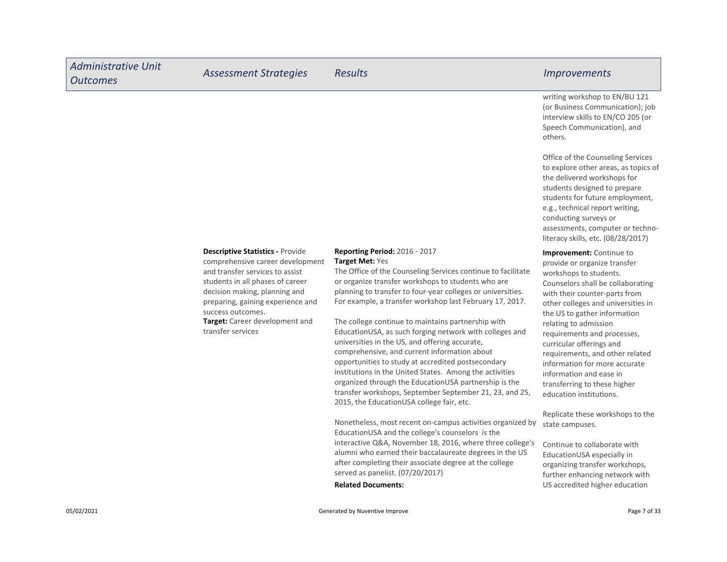| <b>Administrative Unit</b><br><b>Outcomes</b> | <b>Assessment Strategies</b>                                                                                                                                                                                                                                                                         | <b>Results</b>                                                                                                                                                                                                                                                                                                                                                                                                                                                                                                                                                                                                                               | <i>Improvements</i>                                                                                                                                                                                                                                                                                                                                                                                                      |
|-----------------------------------------------|------------------------------------------------------------------------------------------------------------------------------------------------------------------------------------------------------------------------------------------------------------------------------------------------------|----------------------------------------------------------------------------------------------------------------------------------------------------------------------------------------------------------------------------------------------------------------------------------------------------------------------------------------------------------------------------------------------------------------------------------------------------------------------------------------------------------------------------------------------------------------------------------------------------------------------------------------------|--------------------------------------------------------------------------------------------------------------------------------------------------------------------------------------------------------------------------------------------------------------------------------------------------------------------------------------------------------------------------------------------------------------------------|
|                                               |                                                                                                                                                                                                                                                                                                      |                                                                                                                                                                                                                                                                                                                                                                                                                                                                                                                                                                                                                                              | writing workshop to EN/BU 121<br>(or Business Communication); job<br>interview skills to EN/CO 205 (or<br>Speech Communication), and<br>others.                                                                                                                                                                                                                                                                          |
|                                               |                                                                                                                                                                                                                                                                                                      |                                                                                                                                                                                                                                                                                                                                                                                                                                                                                                                                                                                                                                              | Office of the Counseling Services<br>to explore other areas, as topics of<br>the delivered workshops for<br>students designed to prepare<br>students for future employment,<br>e.g., technical report writing,<br>conducting surveys or<br>assessments, computer or techno-<br>literacy skills, etc. (08/28/2017)                                                                                                        |
|                                               | <b>Descriptive Statistics - Provide</b><br>comprehensive career development<br>and transfer services to assist<br>students in all phases of career<br>decision making, planning and<br>preparing, gaining experience and<br>success outcomes.<br>Target: Career development and<br>transfer services | <b>Reporting Period: 2016 - 2017</b><br>Target Met: Yes<br>The Office of the Counseling Services continue to facilitate<br>or organize transfer workshops to students who are<br>planning to transfer to four-year colleges or universities.<br>For example, a transfer workshop last February 17, 2017.<br>The college continue to maintains partnership with<br>EducationUSA, as such forging network with colleges and<br>universities in the US, and offering accurate,<br>comprehensive, and current information about<br>opportunities to study at accredited postsecondary<br>institutions in the United States. Among the activities | <b>Improvement:</b> Continue to<br>provide or organize transfer<br>workshops to students.<br>Counselors shall be collaborating<br>with their counter-parts from<br>other colleges and universities in<br>the US to gather information<br>relating to admission<br>requirements and processes,<br>curricular offerings and<br>requirements, and other related<br>information for more accurate<br>information and ease in |

information and ease in transferring to these higher education institutions.

Replicate these workshops to the state campuses.

Continue to collaborate with EducationUSA especially in organizing transfer workshops, further enhancing network with US accredited higher education

Related Documents:

served as panelist. (07/20/2017)

organized through the EducationUSA partnership is the transfer workshops, September September 21, 23, and 25,

EducationUSA and the college's counselors is the

Nonetheless, most recent on-campus activities organized by

interactive Q&A, November 18, 2016, where three college's alumni who earned their baccalaureate degrees in the US after completing their associate degree at the college

2015, the EducationUSA college fair, etc.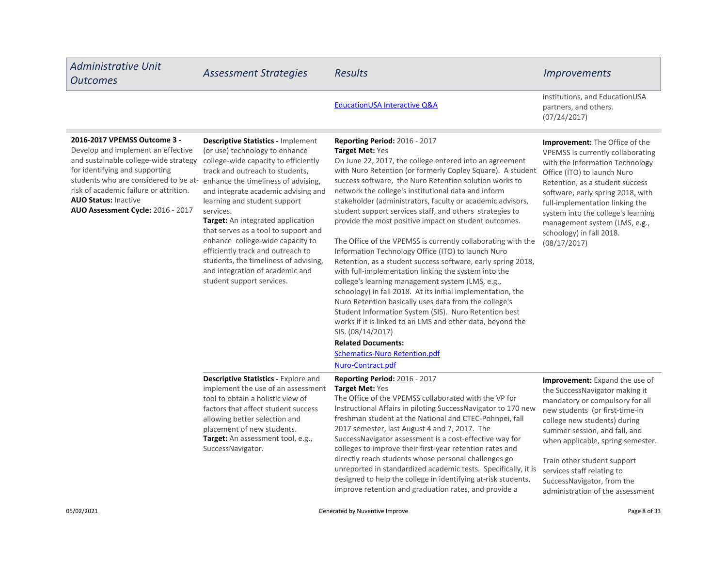| <b>Administrative Unit</b><br><b>Outcomes</b>                                                                                                                                                                                                                                                                                            | <b>Assessment Strategies</b>                                                                                                                                                                                                                                                                                                                                                                                                                                                                              | <b>Results</b>                                                                                                                                                                                                                                                                                                                                                                                                                                                                                                                                                                                                                                                                                                                                                                                                                                                                                                                                                                                                                                                                                                                                              | <b>Improvements</b>                                                                                                                                                                                                                                                                                                                                                               |
|------------------------------------------------------------------------------------------------------------------------------------------------------------------------------------------------------------------------------------------------------------------------------------------------------------------------------------------|-----------------------------------------------------------------------------------------------------------------------------------------------------------------------------------------------------------------------------------------------------------------------------------------------------------------------------------------------------------------------------------------------------------------------------------------------------------------------------------------------------------|-------------------------------------------------------------------------------------------------------------------------------------------------------------------------------------------------------------------------------------------------------------------------------------------------------------------------------------------------------------------------------------------------------------------------------------------------------------------------------------------------------------------------------------------------------------------------------------------------------------------------------------------------------------------------------------------------------------------------------------------------------------------------------------------------------------------------------------------------------------------------------------------------------------------------------------------------------------------------------------------------------------------------------------------------------------------------------------------------------------------------------------------------------------|-----------------------------------------------------------------------------------------------------------------------------------------------------------------------------------------------------------------------------------------------------------------------------------------------------------------------------------------------------------------------------------|
|                                                                                                                                                                                                                                                                                                                                          |                                                                                                                                                                                                                                                                                                                                                                                                                                                                                                           | <b>EducationUSA Interactive Q&amp;A</b>                                                                                                                                                                                                                                                                                                                                                                                                                                                                                                                                                                                                                                                                                                                                                                                                                                                                                                                                                                                                                                                                                                                     | institutions, and EducationUSA<br>partners, and others.<br>(07/24/2017)                                                                                                                                                                                                                                                                                                           |
| 2016-2017 VPEMSS Outcome 3 -<br>Develop and implement an effective<br>and sustainable college-wide strategy<br>for identifying and supporting<br>students who are considered to be at- enhance the timeliness of advising,<br>risk of academic failure or attrition.<br><b>AUO Status: Inactive</b><br>AUO Assessment Cycle: 2016 - 2017 | <b>Descriptive Statistics - Implement</b><br>(or use) technology to enhance<br>college-wide capacity to efficiently<br>track and outreach to students,<br>and integrate academic advising and<br>learning and student support<br>services.<br>Target: An integrated application<br>that serves as a tool to support and<br>enhance college-wide capacity to<br>efficiently track and outreach to<br>students, the timeliness of advising,<br>and integration of academic and<br>student support services. | <b>Reporting Period: 2016 - 2017</b><br><b>Target Met: Yes</b><br>On June 22, 2017, the college entered into an agreement<br>with Nuro Retention (or formerly Copley Square). A student<br>success software, the Nuro Retention solution works to<br>network the college's institutional data and inform<br>stakeholder (administrators, faculty or academic advisors,<br>student support services staff, and others strategies to<br>provide the most positive impact on student outcomes.<br>The Office of the VPEMSS is currently collaborating with the<br>Information Technology Office (ITO) to launch Nuro<br>Retention, as a student success software, early spring 2018,<br>with full-implementation linking the system into the<br>college's learning management system (LMS, e.g.,<br>schoology) in fall 2018. At its initial implementation, the<br>Nuro Retention basically uses data from the college's<br>Student Information System (SIS). Nuro Retention best<br>works if it is linked to an LMS and other data, beyond the<br>SIS. (08/14/2017)<br><b>Related Documents:</b><br><b>Schematics-Nuro Retention.pdf</b><br>Nuro-Contract.pdf | <b>Improvement:</b> The Office of the<br>VPEMSS is currently collaborating<br>with the Information Technology<br>Office (ITO) to launch Nuro<br>Retention, as a student success<br>software, early spring 2018, with<br>full-implementation linking the<br>system into the college's learning<br>management system (LMS, e.g.,<br>schoology) in fall 2018.<br>(08/17/2017)        |
|                                                                                                                                                                                                                                                                                                                                          | <b>Descriptive Statistics - Explore and</b><br>implement the use of an assessment<br>tool to obtain a holistic view of<br>factors that affect student success<br>allowing better selection and<br>placement of new students.<br>Target: An assessment tool, e.g.,<br>SuccessNavigator.                                                                                                                                                                                                                    | Reporting Period: 2016 - 2017<br>Target Met: Yes<br>The Office of the VPEMSS collaborated with the VP for<br>Instructional Affairs in piloting SuccessNavigator to 170 new<br>freshman student at the National and CTEC-Pohnpei, fall<br>2017 semester, last August 4 and 7, 2017. The<br>SuccessNavigator assessment is a cost-effective way for<br>colleges to improve their first-year retention rates and<br>directly reach students whose personal challenges go<br>unreported in standardized academic tests. Specifically, it is<br>designed to help the college in identifying at-risk students,<br>improve retention and graduation rates, and provide a                                                                                                                                                                                                                                                                                                                                                                                                                                                                                           | <b>Improvement:</b> Expand the use of<br>the SuccessNavigator making it<br>mandatory or compulsory for all<br>new students (or first-time-in<br>college new students) during<br>summer session, and fall, and<br>when applicable, spring semester.<br>Train other student support<br>services staff relating to<br>SuccessNavigator, from the<br>administration of the assessment |
| 05/02/2021                                                                                                                                                                                                                                                                                                                               |                                                                                                                                                                                                                                                                                                                                                                                                                                                                                                           | Generated by Nuventive Improve                                                                                                                                                                                                                                                                                                                                                                                                                                                                                                                                                                                                                                                                                                                                                                                                                                                                                                                                                                                                                                                                                                                              | Page 8 of 33                                                                                                                                                                                                                                                                                                                                                                      |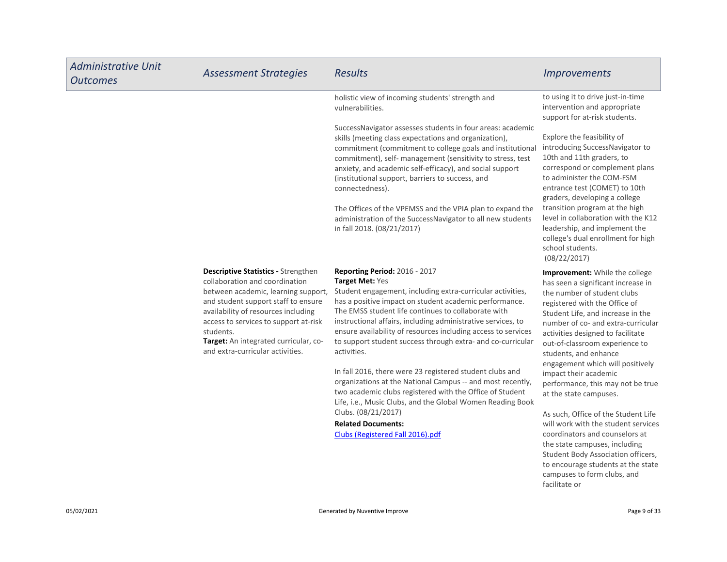| <b>Administrative Unit</b><br><b>Outcomes</b> | <b>Assessment Strategies</b>                                                                                                                                                                                                                                                                                                         | Results                                                                                                                                                                                                                                                                                                                                                                                                                                                                                                                                                                                                                                                                                                          | <i><u><b>Improvements</b></u></i>                                                                                                                                                                                                                                                                                                                                                                                                           |
|-----------------------------------------------|--------------------------------------------------------------------------------------------------------------------------------------------------------------------------------------------------------------------------------------------------------------------------------------------------------------------------------------|------------------------------------------------------------------------------------------------------------------------------------------------------------------------------------------------------------------------------------------------------------------------------------------------------------------------------------------------------------------------------------------------------------------------------------------------------------------------------------------------------------------------------------------------------------------------------------------------------------------------------------------------------------------------------------------------------------------|---------------------------------------------------------------------------------------------------------------------------------------------------------------------------------------------------------------------------------------------------------------------------------------------------------------------------------------------------------------------------------------------------------------------------------------------|
|                                               |                                                                                                                                                                                                                                                                                                                                      | holistic view of incoming students' strength and<br>vulnerabilities.                                                                                                                                                                                                                                                                                                                                                                                                                                                                                                                                                                                                                                             | to using it to drive just-in-time<br>intervention and appropriate<br>support for at-risk students.                                                                                                                                                                                                                                                                                                                                          |
|                                               |                                                                                                                                                                                                                                                                                                                                      | SuccessNavigator assesses students in four areas: academic<br>skills (meeting class expectations and organization),<br>commitment (commitment to college goals and institutional<br>commitment), self- management (sensitivity to stress, test<br>anxiety, and academic self-efficacy), and social support<br>(institutional support, barriers to success, and<br>connectedness).                                                                                                                                                                                                                                                                                                                                | Explore the feasibility of<br>introducing SuccessNavigator to<br>10th and 11th graders, to<br>correspond or complement plans<br>to administer the COM-FSM<br>entrance test (COMET) to 10th<br>graders, developing a college                                                                                                                                                                                                                 |
|                                               |                                                                                                                                                                                                                                                                                                                                      | The Offices of the VPEMSS and the VPIA plan to expand the<br>administration of the SuccessNavigator to all new students<br>in fall 2018. (08/21/2017)                                                                                                                                                                                                                                                                                                                                                                                                                                                                                                                                                            | transition program at the high<br>level in collaboration with the K12<br>leadership, and implement the<br>college's dual enrollment for high<br>school students.<br>(08/22/2017)                                                                                                                                                                                                                                                            |
|                                               | <b>Descriptive Statistics - Strengthen</b><br>collaboration and coordination<br>between academic, learning support,<br>and student support staff to ensure<br>availability of resources including<br>access to services to support at-risk<br>students.<br>Target: An integrated curricular, co-<br>and extra-curricular activities. | <b>Reporting Period: 2016 - 2017</b><br><b>Target Met: Yes</b><br>Student engagement, including extra-curricular activities,<br>has a positive impact on student academic performance.<br>The EMSS student life continues to collaborate with<br>instructional affairs, including administrative services, to<br>ensure availability of resources including access to services<br>to support student success through extra- and co-curricular<br>activities.<br>In fall 2016, there were 23 registered student clubs and<br>organizations at the National Campus -- and most recently,<br>two academic clubs registered with the Office of Student<br>Life, i.e., Music Clubs, and the Global Women Reading Book | Improvement: While the college<br>has seen a significant increase in<br>the number of student clubs<br>registered with the Office of<br>Student Life, and increase in the<br>number of co- and extra-curricular<br>activities designed to facilitate<br>out-of-classroom experience to<br>students, and enhance<br>engagement which will positively<br>impact their academic<br>performance, this may not be true<br>at the state campuses. |
|                                               |                                                                                                                                                                                                                                                                                                                                      | Clubs. (08/21/2017)<br><b>Related Documents:</b><br>Clubs (Registered Fall 2016).pdf                                                                                                                                                                                                                                                                                                                                                                                                                                                                                                                                                                                                                             | As such, Office of the Student Life<br>will work with the student services<br>coordinators and counselors at<br>the state campuses, including<br>Student Body Association officers,<br>to encourage students at the state<br>campuses to form clubs, and<br>facilitate or                                                                                                                                                                   |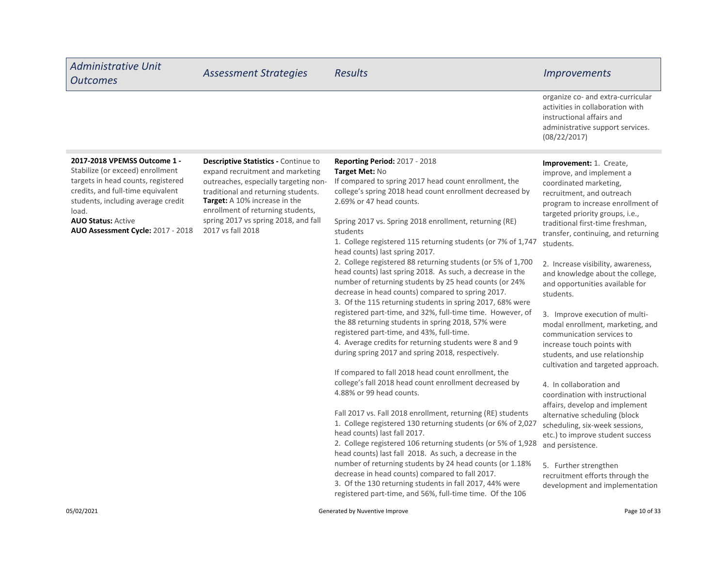| <b>Administrative Unit</b><br><b>Outcomes</b>                                                                                                                                                                                                                | <b>Assessment Strategies</b>                                                                                                                                                                                                                                                                | <b>Results</b>                                                                                                                                                                                                                                                                                                                                                                                                                                                                                                                                                                                                                                                                                                                                                                                                                                                                                                                                                                                                                                                                                                                                                                                                                                                                                                                                                                                                                                                                                                                                                                           | <i><u><b>Improvements</b></u></i>                                                                                                                                                                                                                                                                                                                                                                                                                                                                                                                                                                                                                                                                                                                                                                                                                                                                                                      |
|--------------------------------------------------------------------------------------------------------------------------------------------------------------------------------------------------------------------------------------------------------------|---------------------------------------------------------------------------------------------------------------------------------------------------------------------------------------------------------------------------------------------------------------------------------------------|------------------------------------------------------------------------------------------------------------------------------------------------------------------------------------------------------------------------------------------------------------------------------------------------------------------------------------------------------------------------------------------------------------------------------------------------------------------------------------------------------------------------------------------------------------------------------------------------------------------------------------------------------------------------------------------------------------------------------------------------------------------------------------------------------------------------------------------------------------------------------------------------------------------------------------------------------------------------------------------------------------------------------------------------------------------------------------------------------------------------------------------------------------------------------------------------------------------------------------------------------------------------------------------------------------------------------------------------------------------------------------------------------------------------------------------------------------------------------------------------------------------------------------------------------------------------------------------|----------------------------------------------------------------------------------------------------------------------------------------------------------------------------------------------------------------------------------------------------------------------------------------------------------------------------------------------------------------------------------------------------------------------------------------------------------------------------------------------------------------------------------------------------------------------------------------------------------------------------------------------------------------------------------------------------------------------------------------------------------------------------------------------------------------------------------------------------------------------------------------------------------------------------------------|
|                                                                                                                                                                                                                                                              |                                                                                                                                                                                                                                                                                             |                                                                                                                                                                                                                                                                                                                                                                                                                                                                                                                                                                                                                                                                                                                                                                                                                                                                                                                                                                                                                                                                                                                                                                                                                                                                                                                                                                                                                                                                                                                                                                                          | organize co- and extra-curricular<br>activities in collaboration with<br>instructional affairs and<br>administrative support services.<br>(08/22/2017)                                                                                                                                                                                                                                                                                                                                                                                                                                                                                                                                                                                                                                                                                                                                                                                 |
| 2017-2018 VPEMSS Outcome 1 -<br>Stabilize (or exceed) enrollment<br>targets in head counts, registered<br>credits, and full-time equivalent<br>students, including average credit<br>load.<br><b>AUO Status: Active</b><br>AUO Assessment Cycle: 2017 - 2018 | Descriptive Statistics - Continue to<br>expand recruitment and marketing<br>outreaches, especially targeting non-<br>traditional and returning students.<br>Target: A 10% increase in the<br>enrollment of returning students,<br>spring 2017 vs spring 2018, and fall<br>2017 vs fall 2018 | <b>Reporting Period: 2017 - 2018</b><br>Target Met: No<br>If compared to spring 2017 head count enrollment, the<br>college's spring 2018 head count enrollment decreased by<br>2.69% or 47 head counts.<br>Spring 2017 vs. Spring 2018 enrollment, returning (RE)<br>students<br>1. College registered 115 returning students (or 7% of 1,747<br>head counts) last spring 2017.<br>2. College registered 88 returning students (or 5% of 1,700<br>head counts) last spring 2018. As such, a decrease in the<br>number of returning students by 25 head counts (or 24%<br>decrease in head counts) compared to spring 2017.<br>3. Of the 115 returning students in spring 2017, 68% were<br>registered part-time, and 32%, full-time time. However, of<br>the 88 returning students in spring 2018, 57% were<br>registered part-time, and 43%, full-time.<br>4. Average credits for returning students were 8 and 9<br>during spring 2017 and spring 2018, respectively.<br>If compared to fall 2018 head count enrollment, the<br>college's fall 2018 head count enrollment decreased by<br>4.88% or 99 head counts.<br>Fall 2017 vs. Fall 2018 enrollment, returning (RE) students<br>1. College registered 130 returning students (or 6% of 2,027<br>head counts) last fall 2017.<br>2. College registered 106 returning students (or 5% of 1,928<br>head counts) last fall 2018. As such, a decrease in the<br>number of returning students by 24 head counts (or 1.18%<br>decrease in head counts) compared to fall 2017.<br>3. Of the 130 returning students in fall 2017, 44% were | Improvement: 1. Create,<br>improve, and implement a<br>coordinated marketing,<br>recruitment, and outreach<br>program to increase enrollment of<br>targeted priority groups, i.e.,<br>traditional first-time freshman,<br>transfer, continuing, and returning<br>students.<br>2. Increase visibility, awareness,<br>and knowledge about the college,<br>and opportunities available for<br>students.<br>3. Improve execution of multi-<br>modal enrollment, marketing, and<br>communication services to<br>increase touch points with<br>students, and use relationship<br>cultivation and targeted approach.<br>4. In collaboration and<br>coordination with instructional<br>affairs, develop and implement<br>alternative scheduling (block<br>scheduling, six-week sessions,<br>etc.) to improve student success<br>and persistence.<br>5. Further strengthen<br>recruitment efforts through the<br>development and implementation |

O5/02/2021 **Contracted by Nuventive Improve** Generated by Nuventive Improve Page 10 of 33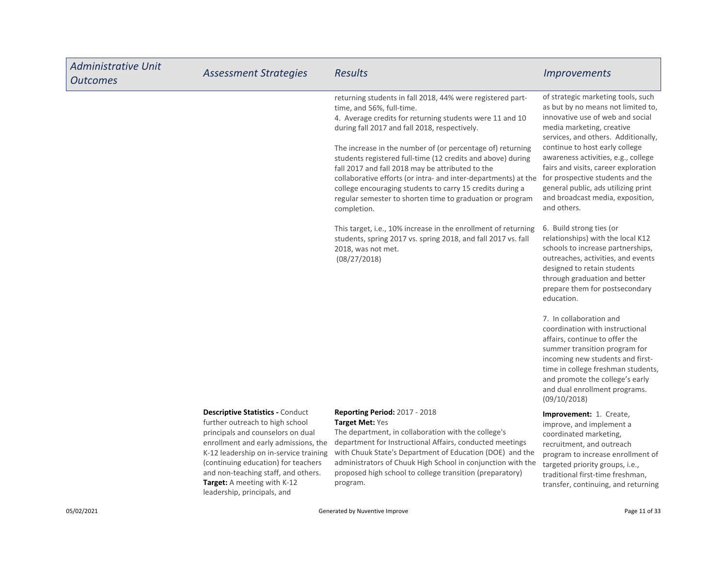| <b>Administrative Unit</b><br><b>Outcomes</b> | <b>Assessment Strategies</b>                                                                                                                                                                                                                                                                                                                  | <b>Results</b>                                                                                                                                                                                                                                                                                                                                                                                                                                                                                                                                                                                                                                                                                                                                                       | <i><u><b>Improvements</b></u></i>                                                                                                                                                                                                                                                                                                                                                                                                                            |
|-----------------------------------------------|-----------------------------------------------------------------------------------------------------------------------------------------------------------------------------------------------------------------------------------------------------------------------------------------------------------------------------------------------|----------------------------------------------------------------------------------------------------------------------------------------------------------------------------------------------------------------------------------------------------------------------------------------------------------------------------------------------------------------------------------------------------------------------------------------------------------------------------------------------------------------------------------------------------------------------------------------------------------------------------------------------------------------------------------------------------------------------------------------------------------------------|--------------------------------------------------------------------------------------------------------------------------------------------------------------------------------------------------------------------------------------------------------------------------------------------------------------------------------------------------------------------------------------------------------------------------------------------------------------|
|                                               |                                                                                                                                                                                                                                                                                                                                               | returning students in fall 2018, 44% were registered part-<br>time, and 56%, full-time.<br>4. Average credits for returning students were 11 and 10<br>during fall 2017 and fall 2018, respectively.<br>The increase in the number of (or percentage of) returning<br>students registered full-time (12 credits and above) during<br>fall 2017 and fall 2018 may be attributed to the<br>collaborative efforts (or intra- and inter-departments) at the for prospective students and the<br>college encouraging students to carry 15 credits during a<br>regular semester to shorten time to graduation or program<br>completion.<br>This target, i.e., 10% increase in the enrollment of returning<br>students, spring 2017 vs. spring 2018, and fall 2017 vs. fall | of strategic marketing tools, such<br>as but by no means not limited to,<br>innovative use of web and social<br>media marketing, creative<br>services, and others. Additionally,<br>continue to host early college<br>awareness activities, e.g., college<br>fairs and visits, career exploration<br>general public, ads utilizing print<br>and broadcast media, exposition,<br>and others.<br>6. Build strong ties (or<br>relationships) with the local K12 |
|                                               |                                                                                                                                                                                                                                                                                                                                               | 2018, was not met.<br>(08/27/2018)                                                                                                                                                                                                                                                                                                                                                                                                                                                                                                                                                                                                                                                                                                                                   | schools to increase partnerships,<br>outreaches, activities, and events<br>designed to retain students<br>through graduation and better<br>prepare them for postsecondary<br>education.                                                                                                                                                                                                                                                                      |
|                                               |                                                                                                                                                                                                                                                                                                                                               |                                                                                                                                                                                                                                                                                                                                                                                                                                                                                                                                                                                                                                                                                                                                                                      | 7. In collaboration and<br>coordination with instructional<br>affairs, continue to offer the<br>summer transition program for<br>incoming new students and first-<br>time in college freshman students,<br>and promote the college's early<br>and dual enrollment programs.<br>(09/10/2018)                                                                                                                                                                  |
|                                               | <b>Descriptive Statistics - Conduct</b><br>further outreach to high school<br>principals and counselors on dual<br>enrollment and early admissions, the<br>K-12 leadership on in-service training<br>(continuing education) for teachers<br>and non-teaching staff, and others.<br>Target: A meeting with K-12<br>leadership, principals, and | <b>Reporting Period: 2017 - 2018</b><br>Target Met: Yes<br>The department, in collaboration with the college's<br>department for Instructional Affairs, conducted meetings<br>with Chuuk State's Department of Education (DOE) and the<br>administrators of Chuuk High School in conjunction with the<br>proposed high school to college transition (preparatory)<br>program.                                                                                                                                                                                                                                                                                                                                                                                        | Improvement: 1. Create,<br>improve, and implement a<br>coordinated marketing,<br>recruitment, and outreach<br>program to increase enrollment of<br>targeted priority groups, i.e.,<br>traditional first-time freshman,<br>transfer, continuing, and returning                                                                                                                                                                                                |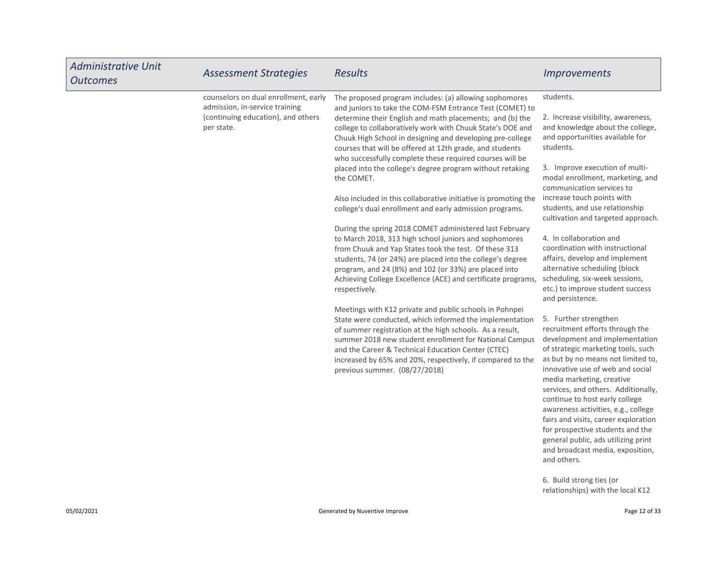| <b>Administrative Unit</b><br><b>Outcomes</b> | <b>Assessment Strategies</b>                                                                                               | <b>Results</b>                                                                                                                                                                                                                                                                                                                                                                                                                    | <i><u><b>Improvements</b></u></i>                                                                                                                                                                                                                                                                                                                                                                                                                                                                                             |
|-----------------------------------------------|----------------------------------------------------------------------------------------------------------------------------|-----------------------------------------------------------------------------------------------------------------------------------------------------------------------------------------------------------------------------------------------------------------------------------------------------------------------------------------------------------------------------------------------------------------------------------|-------------------------------------------------------------------------------------------------------------------------------------------------------------------------------------------------------------------------------------------------------------------------------------------------------------------------------------------------------------------------------------------------------------------------------------------------------------------------------------------------------------------------------|
|                                               | counselors on dual enrollment, early<br>admission, in-service training<br>(continuing education), and others<br>per state. | The proposed program includes: (a) allowing sophomores<br>and juniors to take the COM-FSM Entrance Test (COMET) to<br>determine their English and math placements; and (b) the<br>college to collaboratively work with Chuuk State's DOE and<br>Chuuk High School in designing and developing pre-college<br>courses that will be offered at 12th grade, and students<br>who successfully complete these required courses will be | students.<br>2. Increase visibility, awareness,<br>and knowledge about the college,<br>and opportunities available for<br>students.                                                                                                                                                                                                                                                                                                                                                                                           |
|                                               |                                                                                                                            | placed into the college's degree program without retaking<br>the COMET.                                                                                                                                                                                                                                                                                                                                                           | 3. Improve execution of multi-<br>modal enrollment, marketing, and<br>communication services to                                                                                                                                                                                                                                                                                                                                                                                                                               |
|                                               |                                                                                                                            | Also included in this collaborative initiative is promoting the<br>college's dual enrollment and early admission programs.                                                                                                                                                                                                                                                                                                        | increase touch points with<br>students, and use relationship<br>cultivation and targeted approach.                                                                                                                                                                                                                                                                                                                                                                                                                            |
|                                               |                                                                                                                            | During the spring 2018 COMET administered last February<br>to March 2018, 313 high school juniors and sophomores<br>from Chuuk and Yap States took the test. Of these 313<br>students, 74 (or 24%) are placed into the college's degree<br>program, and 24 (8%) and 102 (or 33%) are placed into<br>Achieving College Excellence (ACE) and certificate programs,<br>respectively.                                                 | 4. In collaboration and<br>coordination with instructional<br>affairs, develop and implement<br>alternative scheduling (block<br>scheduling, six-week sessions,<br>etc.) to improve student success<br>and persistence.                                                                                                                                                                                                                                                                                                       |
|                                               |                                                                                                                            | Meetings with K12 private and public schools in Pohnpei<br>State were conducted, which informed the implementation<br>of summer registration at the high schools. As a result,<br>summer 2018 new student enrollment for National Campus<br>and the Career & Technical Education Center (CTEC)<br>increased by 65% and 20%, respectively, if compared to the<br>previous summer. (08/27/2018)                                     | 5. Further strengthen<br>recruitment efforts through the<br>development and implementation<br>of strategic marketing tools, such<br>as but by no means not limited to,<br>innovative use of web and social<br>media marketing, creative<br>services, and others. Additionally,<br>continue to host early college<br>awareness activities, e.g., college<br>fairs and visits, career exploration<br>for prospective students and the<br>general public, ads utilizing print<br>and broadcast media, exposition,<br>and others. |
|                                               |                                                                                                                            |                                                                                                                                                                                                                                                                                                                                                                                                                                   | 6. Build strong ties (or<br>relationships) with the local K12                                                                                                                                                                                                                                                                                                                                                                                                                                                                 |

г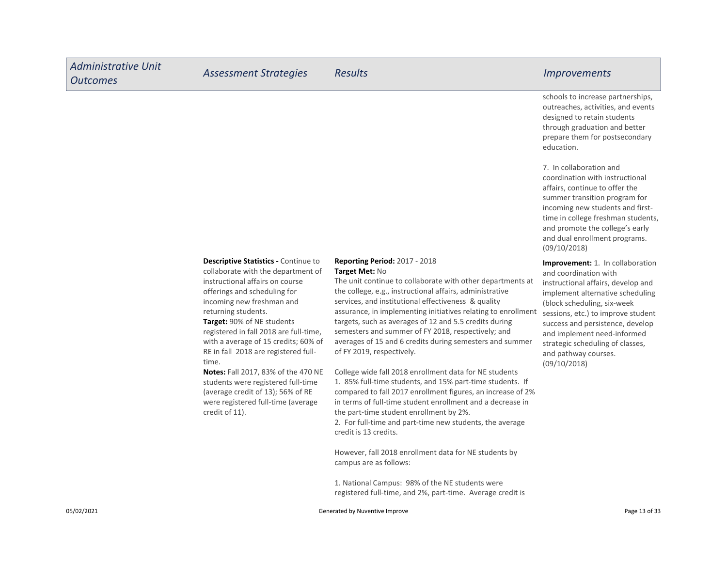| <b>Administrative Unit</b><br><b>Outcomes</b> | <b>Assessment Strategies</b>                                                                                                                                                                                                                                                                                             | <b>Results</b>                                                                                                                                                                                                                                                                                                                                                                                                                                                                       | <i><u><b>Improvements</b></u></i>                                                                                                                                                                                                                                                                                      |
|-----------------------------------------------|--------------------------------------------------------------------------------------------------------------------------------------------------------------------------------------------------------------------------------------------------------------------------------------------------------------------------|--------------------------------------------------------------------------------------------------------------------------------------------------------------------------------------------------------------------------------------------------------------------------------------------------------------------------------------------------------------------------------------------------------------------------------------------------------------------------------------|------------------------------------------------------------------------------------------------------------------------------------------------------------------------------------------------------------------------------------------------------------------------------------------------------------------------|
|                                               |                                                                                                                                                                                                                                                                                                                          |                                                                                                                                                                                                                                                                                                                                                                                                                                                                                      | schools to increase partnerships,<br>outreaches, activities, and events<br>designed to retain students<br>through graduation and better<br>prepare them for postsecondary<br>education.                                                                                                                                |
|                                               |                                                                                                                                                                                                                                                                                                                          |                                                                                                                                                                                                                                                                                                                                                                                                                                                                                      | 7. In collaboration and<br>coordination with instructional<br>affairs, continue to offer the<br>summer transition program for<br>incoming new students and first-<br>time in college freshman students,<br>and promote the college's early<br>and dual enrollment programs.<br>(09/10/2018)                            |
|                                               | <b>Descriptive Statistics - Continue to</b><br>collaborate with the department of<br>instructional affairs on course<br>offerings and scheduling for<br>incoming new freshman and<br>returning students.<br>Target: 90% of NE students<br>registered in fall 2018 are full-time,<br>with a average of 15 credits: 60% of | <b>Reporting Period: 2017 - 2018</b><br>Target Met: No<br>The unit continue to collaborate with other departments at<br>the college, e.g., instructional affairs, administrative<br>services, and institutional effectiveness & quality<br>assurance, in implementing initiatives relating to enrollment<br>targets, such as averages of 12 and 5.5 credits during<br>semesters and summer of FY 2018, respectively; and<br>averages of 15 and 6 credits during semesters and summer | <b>Improvement:</b> 1. In collaboration<br>and coordination with<br>instructional affairs, develop and<br>implement alternative scheduling<br>(block scheduling, six-week)<br>sessions, etc.) to improve student<br>success and persistence, develop<br>and implement need-informed<br>strategic scheduling of classes |

strategic scheduling of classes, and pathway courses. (09/10/2018)

age or 15 credits, 60 RE in fall 2018 are registered fulltime.

Notes: Fall 2017, 83% of the 470 NE students were registered full-time (average credit of 13); 56% of RE were registered full-time (average credit of 11).

averages of 15 and 6 credits during semesters and summer of FY 2019, respectively.

College wide fall 2018 enrollment data for NE students 1. 85% full-time students, and 15% part-time students. If compared to fall 2017 enrollment figures, an increase of 2% in terms of full-time student enrollment and a decrease in the part-time student enrollment by 2%. 2. For full-time and part-time new students, the average credit is 13 credits.

However, fall 2018 enrollment data for NE students by campus are as follows:

1. National Campus: 98% of the NE students were registered full-time, and 2%, part-time. Average credit is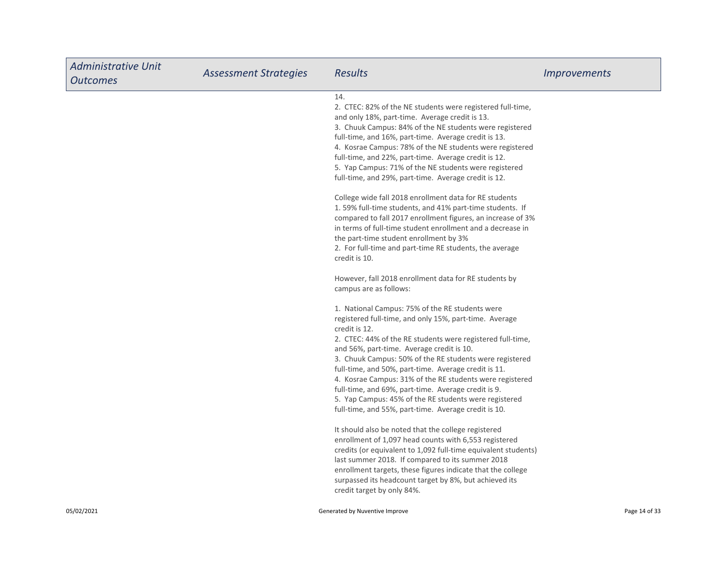| <b>Administrative Unit</b><br><b>Outcomes</b> | <b>Assessment Strategies</b> | <b>Results</b>                                                                                                                                                                                                                                                                                                                                                                                                                                                                                                                                                                               | <i><u><b>Improvements</b></u></i> |
|-----------------------------------------------|------------------------------|----------------------------------------------------------------------------------------------------------------------------------------------------------------------------------------------------------------------------------------------------------------------------------------------------------------------------------------------------------------------------------------------------------------------------------------------------------------------------------------------------------------------------------------------------------------------------------------------|-----------------------------------|
|                                               |                              | 14.<br>2. CTEC: 82% of the NE students were registered full-time,<br>and only 18%, part-time. Average credit is 13.<br>3. Chuuk Campus: 84% of the NE students were registered<br>full-time, and 16%, part-time. Average credit is 13.<br>4. Kosrae Campus: 78% of the NE students were registered<br>full-time, and 22%, part-time. Average credit is 12.<br>5. Yap Campus: 71% of the NE students were registered<br>full-time, and 29%, part-time. Average credit is 12.                                                                                                                  |                                   |
|                                               |                              | College wide fall 2018 enrollment data for RE students<br>1.59% full-time students, and 41% part-time students. If<br>compared to fall 2017 enrollment figures, an increase of 3%<br>in terms of full-time student enrollment and a decrease in<br>the part-time student enrollment by 3%<br>2. For full-time and part-time RE students, the average<br>credit is 10.                                                                                                                                                                                                                        |                                   |
|                                               |                              | However, fall 2018 enrollment data for RE students by<br>campus are as follows:                                                                                                                                                                                                                                                                                                                                                                                                                                                                                                              |                                   |
|                                               |                              | 1. National Campus: 75% of the RE students were<br>registered full-time, and only 15%, part-time. Average<br>credit is 12.<br>2. CTEC: 44% of the RE students were registered full-time,<br>and 56%, part-time. Average credit is 10.<br>3. Chuuk Campus: 50% of the RE students were registered<br>full-time, and 50%, part-time. Average credit is 11.<br>4. Kosrae Campus: 31% of the RE students were registered<br>full-time, and 69%, part-time. Average credit is 9.<br>5. Yap Campus: 45% of the RE students were registered<br>full-time, and 55%, part-time. Average credit is 10. |                                   |
|                                               |                              | It should also be noted that the college registered<br>enrollment of 1,097 head counts with 6,553 registered<br>credits (or equivalent to 1,092 full-time equivalent students)<br>last summer 2018. If compared to its summer 2018<br>enrollment targets, these figures indicate that the college<br>surpassed its headcount target by 8%, but achieved its<br>credit target by only 84%.                                                                                                                                                                                                    |                                   |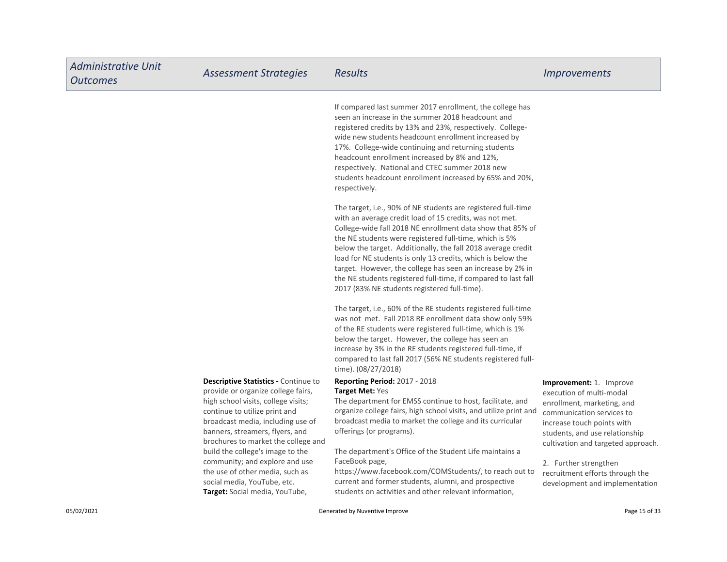| <b>Administrative Unit</b><br><b>Outcomes</b> | <b>Assessment Strategies</b>                                                                                                                                                                                                                                                                                                                   | <b>Results</b>                                                                                                                                                                                                                                                                                                                                                                                                                                                                                                                                                  | <i><u><b>Improvements</b></u></i>                                                                                                                                                                                                             |
|-----------------------------------------------|------------------------------------------------------------------------------------------------------------------------------------------------------------------------------------------------------------------------------------------------------------------------------------------------------------------------------------------------|-----------------------------------------------------------------------------------------------------------------------------------------------------------------------------------------------------------------------------------------------------------------------------------------------------------------------------------------------------------------------------------------------------------------------------------------------------------------------------------------------------------------------------------------------------------------|-----------------------------------------------------------------------------------------------------------------------------------------------------------------------------------------------------------------------------------------------|
|                                               |                                                                                                                                                                                                                                                                                                                                                | If compared last summer 2017 enrollment, the college has<br>seen an increase in the summer 2018 headcount and<br>registered credits by 13% and 23%, respectively. College-<br>wide new students headcount enrollment increased by<br>17%. College-wide continuing and returning students<br>headcount enrollment increased by 8% and 12%,<br>respectively. National and CTEC summer 2018 new<br>students headcount enrollment increased by 65% and 20%,<br>respectively.                                                                                        |                                                                                                                                                                                                                                               |
|                                               |                                                                                                                                                                                                                                                                                                                                                | The target, i.e., 90% of NE students are registered full-time<br>with an average credit load of 15 credits, was not met.<br>College-wide fall 2018 NE enrollment data show that 85% of<br>the NE students were registered full-time, which is 5%<br>below the target. Additionally, the fall 2018 average credit<br>load for NE students is only 13 credits, which is below the<br>target. However, the college has seen an increase by 2% in<br>the NE students registered full-time, if compared to last fall<br>2017 (83% NE students registered full-time). |                                                                                                                                                                                                                                               |
|                                               |                                                                                                                                                                                                                                                                                                                                                | The target, i.e., 60% of the RE students registered full-time<br>was not met. Fall 2018 RE enrollment data show only 59%<br>of the RE students were registered full-time, which is 1%<br>below the target. However, the college has seen an<br>increase by 3% in the RE students registered full-time, if<br>compared to last fall 2017 (56% NE students registered full-<br>time). (08/27/2018)                                                                                                                                                                |                                                                                                                                                                                                                                               |
|                                               | <b>Descriptive Statistics - Continue to</b><br>provide or organize college fairs,<br>high school visits, college visits;<br>continue to utilize print and<br>broadcast media, including use of<br>banners, streamers, flyers, and<br>brochures to market the college and<br>build the college's image to the<br>community; and explore and use | <b>Reporting Period: 2017 - 2018</b><br><b>Target Met: Yes</b><br>The department for EMSS continue to host, facilitate, and<br>organize college fairs, high school visits, and utilize print and<br>broadcast media to market the college and its curricular<br>offerings (or programs).<br>The department's Office of the Student Life maintains a<br>FaceBook page,                                                                                                                                                                                           | Improvement: 1. Improve<br>execution of multi-modal<br>enrollment, marketing, and<br>communication services to<br>increase touch points with<br>students, and use relationship<br>cultivation and targeted approach.<br>2. Further strengthen |
|                                               | the use of other media, such as<br>social media, YouTube, etc.<br>Target: Social media, YouTube,                                                                                                                                                                                                                                               | https://www.facebook.com/COMStudents/, to reach out to<br>current and former students, alumni, and prospective<br>students on activities and other relevant information,                                                                                                                                                                                                                                                                                                                                                                                        | recruitment efforts through the<br>development and implementation                                                                                                                                                                             |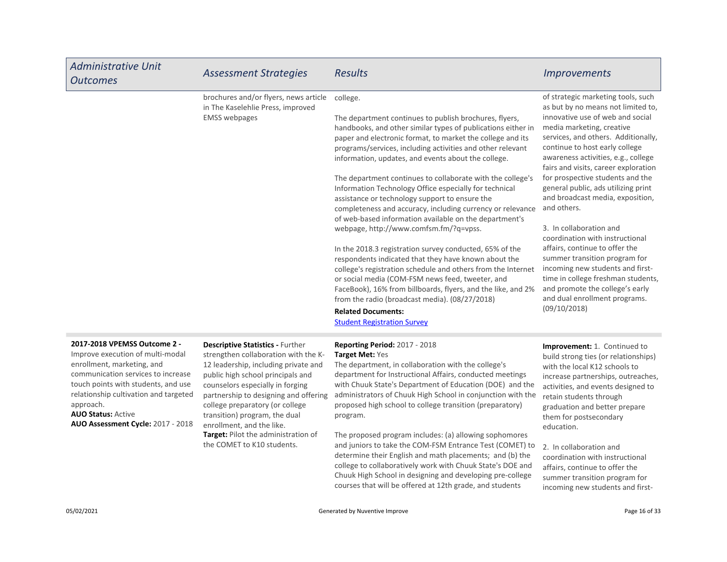| <b>Administrative Unit</b><br><b>Outcomes</b>                    | <b>Assessment Strategies</b>                                                                       | <b>Results</b>                                                                                                                                                                                                                                                                                                                                                                                                                                                                                                                                                                                                                                                                                                                                                                                                                                                                                                                                                                                                                                                                                | <i>Improvements</i>                                                                                                                                                                                                                                                                                                                                                                                                                                                                                                                                                                                                                                                                                                            |
|------------------------------------------------------------------|----------------------------------------------------------------------------------------------------|-----------------------------------------------------------------------------------------------------------------------------------------------------------------------------------------------------------------------------------------------------------------------------------------------------------------------------------------------------------------------------------------------------------------------------------------------------------------------------------------------------------------------------------------------------------------------------------------------------------------------------------------------------------------------------------------------------------------------------------------------------------------------------------------------------------------------------------------------------------------------------------------------------------------------------------------------------------------------------------------------------------------------------------------------------------------------------------------------|--------------------------------------------------------------------------------------------------------------------------------------------------------------------------------------------------------------------------------------------------------------------------------------------------------------------------------------------------------------------------------------------------------------------------------------------------------------------------------------------------------------------------------------------------------------------------------------------------------------------------------------------------------------------------------------------------------------------------------|
|                                                                  | brochures and/or flyers, news article<br>in The Kaselehlie Press, improved<br><b>EMSS</b> webpages | college.<br>The department continues to publish brochures, flyers,<br>handbooks, and other similar types of publications either in<br>paper and electronic format, to market the college and its<br>programs/services, including activities and other relevant<br>information, updates, and events about the college.<br>The department continues to collaborate with the college's<br>Information Technology Office especially for technical<br>assistance or technology support to ensure the<br>completeness and accuracy, including currency or relevance<br>of web-based information available on the department's<br>webpage, http://www.comfsm.fm/?q=vpss.<br>In the 2018.3 registration survey conducted, 65% of the<br>respondents indicated that they have known about the<br>college's registration schedule and others from the Internet<br>or social media (COM-FSM news feed, tweeter, and<br>FaceBook), 16% from billboards, flyers, and the like, and 2%<br>from the radio (broadcast media). (08/27/2018)<br><b>Related Documents:</b><br><b>Student Registration Survey</b> | of strategic marketing tools, such<br>as but by no means not limited to,<br>innovative use of web and social<br>media marketing, creative<br>services, and others. Additionally,<br>continue to host early college<br>awareness activities, e.g., college<br>fairs and visits, career exploration<br>for prospective students and the<br>general public, ads utilizing print<br>and broadcast media, exposition,<br>and others.<br>3. In collaboration and<br>coordination with instructional<br>affairs, continue to offer the<br>summer transition program for<br>incoming new students and first-<br>time in college freshman students,<br>and promote the college's early<br>and dual enrollment programs.<br>(09/10/2018) |
| 2017-2018 VPEMSS Outcome 2 -<br>Improve execution of multi-modal | <b>Descriptive Statistics - Further</b><br>strengthen collaboration with the K-                    | <b>Reporting Period: 2017 - 2018</b><br><b>Target Met: Yes</b>                                                                                                                                                                                                                                                                                                                                                                                                                                                                                                                                                                                                                                                                                                                                                                                                                                                                                                                                                                                                                                | Improvement: 1. Continued to<br>build strong ties (or relationships)                                                                                                                                                                                                                                                                                                                                                                                                                                                                                                                                                                                                                                                           |

enrollment, marketing, and communication services to increase touch points with students, and use relationship cultivation and targeted approach.

AUO Status: Active AUO Assessment Cycle: 2017 - 2018 enrollment, and the like.

Target: Pilot the administration of the COMET to K10 students. 12 leadership, including private and public high school principals and counselors especially in forging partnership to designing and offering college preparatory (or college transition) program, the dual

The department, in collaboration with the college's department for Instructional Affairs, conducted meetings with Chuuk State's Department of Education (DOE) and the administrators of Chuuk High School in conjunction with the proposed high school to college transition (preparatory) program.

The proposed program includes: (a) allowing sophomores and juniors to take the COM-FSM Entrance Test (COMET) to determine their English and math placements; and (b) the college to collaboratively work with Chuuk State's DOE and Chuuk High School in designing and developing pre-college courses that will be offered at 12th grade, and students

build strong ties (or relationships) with the local K12 schools to increase partnerships, outreaches, activities, and events designed to retain students through graduation and better prepare them for postsecondary education.

2. In collaboration and coordination with instructional affairs, continue to offer the summer transition program for incoming new students and first-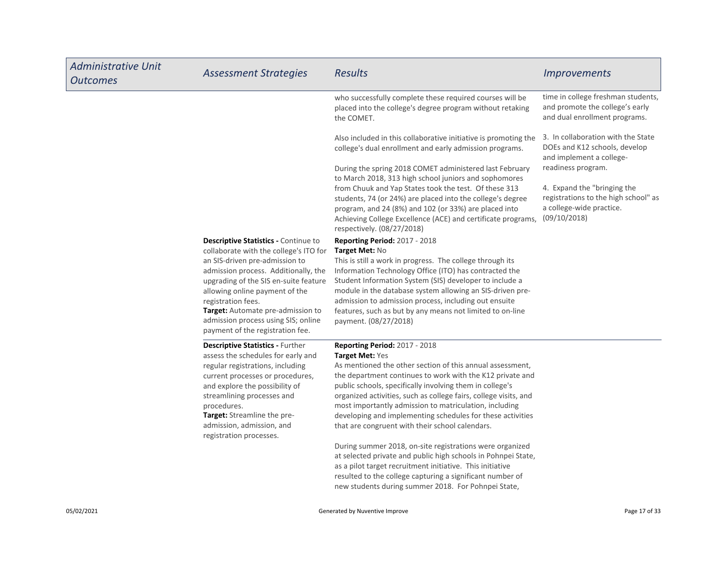| <b>Administrative Unit</b><br><b>Outcomes</b> | <b>Assessment Strategies</b>                                                                                                                                                                                                                                                                                                                                                     | <b>Results</b>                                                                                                                                                                                                                                                                                                                                                                                                                                                                                                                                                                                                                                                                                                                                                                                                    | <i><u><b>Improvements</b></u></i>                                                                                                     |
|-----------------------------------------------|----------------------------------------------------------------------------------------------------------------------------------------------------------------------------------------------------------------------------------------------------------------------------------------------------------------------------------------------------------------------------------|-------------------------------------------------------------------------------------------------------------------------------------------------------------------------------------------------------------------------------------------------------------------------------------------------------------------------------------------------------------------------------------------------------------------------------------------------------------------------------------------------------------------------------------------------------------------------------------------------------------------------------------------------------------------------------------------------------------------------------------------------------------------------------------------------------------------|---------------------------------------------------------------------------------------------------------------------------------------|
|                                               |                                                                                                                                                                                                                                                                                                                                                                                  | who successfully complete these required courses will be<br>placed into the college's degree program without retaking<br>the COMET.                                                                                                                                                                                                                                                                                                                                                                                                                                                                                                                                                                                                                                                                               | time in college freshman students,<br>and promote the college's early<br>and dual enrollment programs.                                |
|                                               |                                                                                                                                                                                                                                                                                                                                                                                  | Also included in this collaborative initiative is promoting the<br>college's dual enrollment and early admission programs.                                                                                                                                                                                                                                                                                                                                                                                                                                                                                                                                                                                                                                                                                        | 3. In collaboration with the State<br>DOEs and K12 schools, develop<br>and implement a college-                                       |
|                                               |                                                                                                                                                                                                                                                                                                                                                                                  | During the spring 2018 COMET administered last February<br>to March 2018, 313 high school juniors and sophomores<br>from Chuuk and Yap States took the test. Of these 313<br>students, 74 (or 24%) are placed into the college's degree<br>program, and 24 (8%) and 102 (or 33%) are placed into<br>Achieving College Excellence (ACE) and certificate programs,<br>respectively. (08/27/2018)                                                                                                                                                                                                                                                                                                                                                                                                                    | readiness program.<br>4. Expand the "bringing the<br>registrations to the high school" as<br>a college-wide practice.<br>(09/10/2018) |
|                                               | <b>Descriptive Statistics - Continue to</b><br>collaborate with the college's ITO for<br>an SIS-driven pre-admission to<br>admission process. Additionally, the<br>upgrading of the SIS en-suite feature<br>allowing online payment of the<br>registration fees.<br>Target: Automate pre-admission to<br>admission process using SIS; online<br>payment of the registration fee. | <b>Reporting Period: 2017 - 2018</b><br><b>Target Met: No</b><br>This is still a work in progress. The college through its<br>Information Technology Office (ITO) has contracted the<br>Student Information System (SIS) developer to include a<br>module in the database system allowing an SIS-driven pre-<br>admission to admission process, including out ensuite<br>features, such as but by any means not limited to on-line<br>payment. (08/27/2018)                                                                                                                                                                                                                                                                                                                                                       |                                                                                                                                       |
|                                               | <b>Descriptive Statistics - Further</b><br>assess the schedules for early and<br>regular registrations, including<br>current processes or procedures,<br>and explore the possibility of<br>streamlining processes and<br>procedures.<br>Target: Streamline the pre-<br>admission, admission, and<br>registration processes.                                                      | <b>Reporting Period: 2017 - 2018</b><br><b>Target Met: Yes</b><br>As mentioned the other section of this annual assessment,<br>the department continues to work with the K12 private and<br>public schools, specifically involving them in college's<br>organized activities, such as college fairs, college visits, and<br>most importantly admission to matriculation, including<br>developing and implementing schedules for these activities<br>that are congruent with their school calendars.<br>During summer 2018, on-site registrations were organized<br>at selected private and public high schools in Pohnpei State,<br>as a pilot target recruitment initiative. This initiative<br>resulted to the college capturing a significant number of<br>new students during summer 2018. For Pohnpei State, |                                                                                                                                       |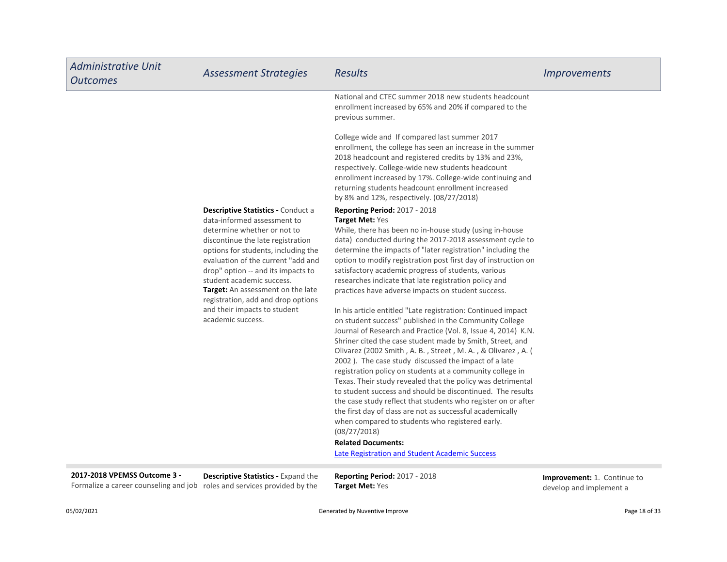| <b>Administrative Unit</b><br><b>Outcomes</b> | <b>Assessment Strategies</b>                                                                                                                                                                                                                                                                                                                                     | <b>Results</b>                                                                                                                                                                                                                                                                                                                                                                                                                                                                                                                                                         | <i><u><b>Improvements</b></u></i> |
|-----------------------------------------------|------------------------------------------------------------------------------------------------------------------------------------------------------------------------------------------------------------------------------------------------------------------------------------------------------------------------------------------------------------------|------------------------------------------------------------------------------------------------------------------------------------------------------------------------------------------------------------------------------------------------------------------------------------------------------------------------------------------------------------------------------------------------------------------------------------------------------------------------------------------------------------------------------------------------------------------------|-----------------------------------|
|                                               |                                                                                                                                                                                                                                                                                                                                                                  | National and CTEC summer 2018 new students headcount<br>enrollment increased by 65% and 20% if compared to the<br>previous summer.                                                                                                                                                                                                                                                                                                                                                                                                                                     |                                   |
|                                               |                                                                                                                                                                                                                                                                                                                                                                  | College wide and If compared last summer 2017<br>enrollment, the college has seen an increase in the summer<br>2018 headcount and registered credits by 13% and 23%,<br>respectively. College-wide new students headcount<br>enrollment increased by 17%. College-wide continuing and<br>returning students headcount enrollment increased<br>by 8% and 12%, respectively. (08/27/2018)                                                                                                                                                                                |                                   |
|                                               | Descriptive Statistics - Conduct a<br>data-informed assessment to<br>determine whether or not to<br>discontinue the late registration<br>options for students, including the<br>evaluation of the current "add and<br>drop" option -- and its impacts to<br>student academic success.<br>Target: An assessment on the late<br>registration, add and drop options | <b>Reporting Period: 2017 - 2018</b><br>Target Met: Yes<br>While, there has been no in-house study (using in-house<br>data) conducted during the 2017-2018 assessment cycle to<br>determine the impacts of "later registration" including the<br>option to modify registration post first day of instruction on<br>satisfactory academic progress of students, various<br>researches indicate that late registration policy and<br>practices have adverse impacts on student success.                                                                                  |                                   |
|                                               | and their impacts to student<br>academic success.                                                                                                                                                                                                                                                                                                                | In his article entitled "Late registration: Continued impact<br>on student success" published in the Community College<br>Journal of Research and Practice (Vol. 8, Issue 4, 2014) K.N.<br>Shriner cited the case student made by Smith, Street, and<br>Olivarez (2002 Smith, A. B., Street, M. A., & Olivarez, A. (<br>2002). The case study discussed the impact of a late<br>registration policy on students at a community college in<br>Texas. Their study revealed that the policy was detrimental<br>to student success and should be discontinued. The results |                                   |
|                                               |                                                                                                                                                                                                                                                                                                                                                                  | the case study reflect that students who register on or after<br>the first day of class are not as successful academically<br>when compared to students who registered early.<br>(08/27/2018)<br><b>Related Documents:</b><br><b>Late Registration and Student Academic Success</b>                                                                                                                                                                                                                                                                                    |                                   |
| 2017-2018 VPEMSS Outcome 3 -                  | <b>Descriptive Statistics - Expand the</b>                                                                                                                                                                                                                                                                                                                       | <b>Reporting Period: 2017 - 2018</b>                                                                                                                                                                                                                                                                                                                                                                                                                                                                                                                                   | <b>Improvement:</b> 1 Continue to |

**Descriptive Statistics - Expand the** roles and services provided by the Formalize a career counseling and job

**Reporting Period: 2017 - 2018** Target Met: Yes

Improvement: 1. Continue to develop and implement a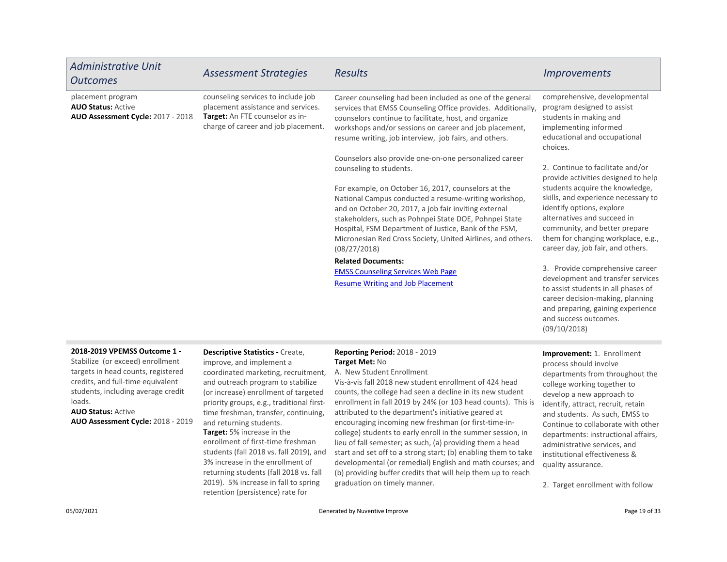| <b>Outcomes</b>                                                                     | <b>Assessment Strategies</b>                                                                                                                       | <b>Results</b>                                                                                                                                                                                                                                                                                                                                                         | <b>Improvements</b>                                                                                                                                                                                                                            |
|-------------------------------------------------------------------------------------|----------------------------------------------------------------------------------------------------------------------------------------------------|------------------------------------------------------------------------------------------------------------------------------------------------------------------------------------------------------------------------------------------------------------------------------------------------------------------------------------------------------------------------|------------------------------------------------------------------------------------------------------------------------------------------------------------------------------------------------------------------------------------------------|
| placement program<br><b>AUO Status: Active</b><br>AUO Assessment Cycle: 2017 - 2018 | counseling services to include job<br>placement assistance and services.<br>Target: An FTE counselor as in-<br>charge of career and job placement. | Career counseling had been included as one of the general<br>services that EMSS Counseling Office provides. Additionally,<br>counselors continue to facilitate, host, and organize<br>workshops and/or sessions on career and job placement,<br>resume writing, job interview, job fairs, and others.                                                                  | comprehensive, developmental<br>program designed to assist<br>students in making and<br>implementing informed<br>educational and occupational<br>choices.                                                                                      |
|                                                                                     |                                                                                                                                                    | Counselors also provide one-on-one personalized career<br>counseling to students.                                                                                                                                                                                                                                                                                      | 2. Continue to facilitate and/or<br>provide activities designed to help                                                                                                                                                                        |
|                                                                                     |                                                                                                                                                    | For example, on October 16, 2017, counselors at the<br>National Campus conducted a resume-writing workshop,<br>and on October 20, 2017, a job fair inviting external<br>stakeholders, such as Pohnpei State DOE, Pohnpei State<br>Hospital, FSM Department of Justice, Bank of the FSM,<br>Micronesian Red Cross Society, United Airlines, and others.<br>(08/27/2018) | students acquire the knowledge,<br>skills, and experience necessary to<br>identify options, explore<br>alternatives and succeed in<br>community, and better prepare<br>them for changing workplace, e.g.,<br>career day, job fair, and others. |
|                                                                                     |                                                                                                                                                    | <b>Related Documents:</b><br><b>EMSS Counseling Services Web Page</b><br><b>Resume Writing and Job Placement</b>                                                                                                                                                                                                                                                       | 3. Provide comprehensive career<br>development and transfer services<br>to assist students in all phases of<br>career decision-making, planning<br>and preparing, gaining experience<br>and success outcomes.<br>(09/10/2018)                  |

#### 2018-2019 VPEMSS Outcome 1 -

Stabilize (or exceed) enrollment targets in head counts, registered credits, and full-time equivalent students, including average credit loads.

AUO Status: Active AUO Assessment Cycle: 2018 - 2019 and returning students.

### Descriptive Statistics - Create, improve, and implement a

Target: 5% increase in the enrollment of first-time freshman students (fall 2018 vs. fall 2019), and 3% increase in the enrollment of returning students (fall 2018 vs. fall 2019). 5% increase in fall to spring coordinated marketing, recruitment, and outreach program to stabilize (or increase) enrollment of targeted priority groups, e.g., traditional firsttime freshman, transfer, continuing,

retention (persistence) rate for

### Reporting Period: 2018 - 2019 Target Met: No

A. New Student Enrollment

Vis-à-vis fall 2018 new student enrollment of 424 head counts, the college had seen a decline in its new student enrollment in fall 2019 by 24% (or 103 head counts). This is attributed to the department's initiative geared at encouraging incoming new freshman (or first-time-incollege) students to early enroll in the summer session, in lieu of fall semester; as such, (a) providing them a head start and set off to a strong start; (b) enabling them to take developmental (or remedial) English and math courses; and (b) providing buffer credits that will help them up to reach graduation on timely manner.

Improvement: 1. Enrollment process should involve departments from throughout the college working together to develop a new approach to identify, attract, recruit, retain and students. As such, EMSS to Continue to collaborate with other departments: instructional affairs, administrative services, and institutional effectiveness & quality assurance.

2. Target enrollment with follow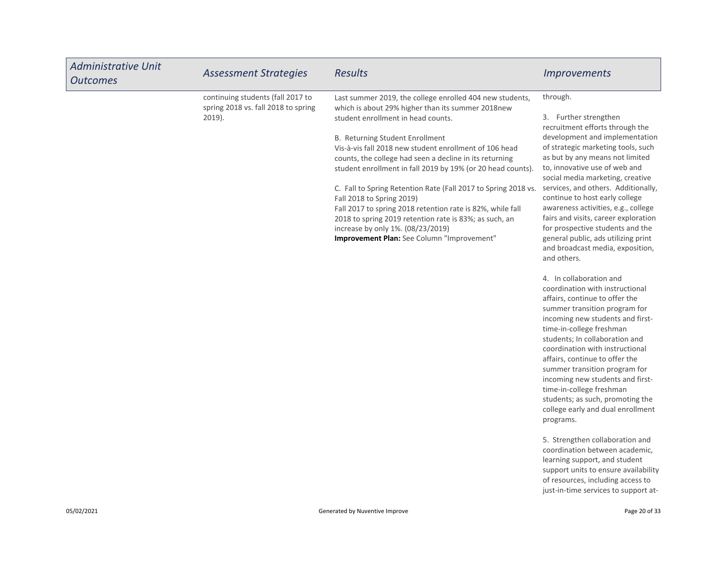| <b>Administrative Unit</b><br>Outcomes | <b>Assessment Strategies</b>                                             | <b>Results</b>                                                                                                | <i>Improvements</i>                                                                    |
|----------------------------------------|--------------------------------------------------------------------------|---------------------------------------------------------------------------------------------------------------|----------------------------------------------------------------------------------------|
|                                        | continuing students (fall 2017 to<br>spring 2018 vs. fall 2018 to spring | Last summer 2019, the college enrolled 404 new students,<br>which is about 29% higher than its summer 2018new | through.                                                                               |
|                                        | $2019$ ).                                                                | student enrollment in head counts.                                                                            | 3. Further strengthen<br>recruitment efforts through the                               |
|                                        |                                                                          | <b>B. Returning Student Enrollment</b>                                                                        | development and implementation                                                         |
|                                        |                                                                          | Vis-à-vis fall 2018 new student enrollment of 106 head                                                        | of strategic marketing tools, such                                                     |
|                                        |                                                                          | counts, the college had seen a decline in its returning                                                       | as but by any means not limited                                                        |
|                                        |                                                                          | student enrollment in fall 2019 by 19% (or 20 head counts).                                                   | to, innovative use of web and<br>social media marketing, creative                      |
|                                        |                                                                          | C. Fall to Spring Retention Rate (Fall 2017 to Spring 2018 vs.<br>Fall 2018 to Spring 2019)                   | services, and others. Additionally,<br>continue to host early college                  |
|                                        |                                                                          | Fall 2017 to spring 2018 retention rate is 82%, while fall                                                    | awareness activities, e.g., college                                                    |
|                                        |                                                                          | 2018 to spring 2019 retention rate is 83%; as such, an                                                        | fairs and visits, career exploration                                                   |
|                                        |                                                                          | increase by only 1%. (08/23/2019)                                                                             | for prospective students and the                                                       |
|                                        |                                                                          | <b>Improvement Plan:</b> See Column "Improvement"                                                             | general public, ads utilizing print<br>and broadcast media, exposition,<br>and others. |
|                                        |                                                                          |                                                                                                               | 4. In collaboration and<br>coordination with instructional                             |
|                                        |                                                                          |                                                                                                               | affairs, continue to offer the                                                         |
|                                        |                                                                          |                                                                                                               | summer transition program for                                                          |
|                                        |                                                                          |                                                                                                               | incoming new students and first-                                                       |
|                                        |                                                                          |                                                                                                               | time-in-college freshman                                                               |
|                                        |                                                                          |                                                                                                               | students; In collaboration and                                                         |
|                                        |                                                                          |                                                                                                               | coordination with instructional                                                        |

5. Strengthen collaboration and coordination between academic, learning support, and student support units to ensure availability of resources, including access to just-in-time services to support at-

affairs, continue to offer the summer transition program for incoming new students and firsttime-in-college freshman students; as such, promoting the college early and dual enrollment

programs.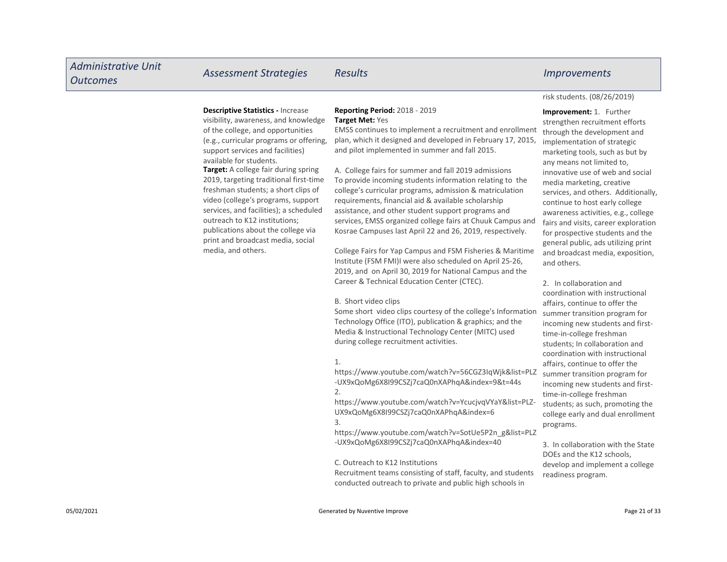## Descriptive Statistics - Increase

visibility, awareness, and knowledge of the college, and opportunities (e.g., curricular programs or offering, support services and facilities) available for students.

Target: A college fair during spring 2019, targeting traditional first-time freshman students; a short clips of video (college's programs, support services, and facilities); a scheduled outreach to K12 institutions; publications about the college via print and broadcast media, social media, and others.

#### Reporting Period: 2018 - 2019 Target Met: Yes

EMSS continues to implement a recruitment and enrollment plan, which it designed and developed in February 17, 2015, and pilot implemented in summer and fall 2015.

A. College fairs for summer and fall 2019 admissions To provide incoming students information relating to the college's curricular programs, admission & matriculation requirements, financial aid & available scholarship assistance, and other student support programs and services, EMSS organized college fairs at Chuuk Campus and Kosrae Campuses last April 22 and 26, 2019, respectively.

College Fairs for Yap Campus and FSM Fisheries & Maritime Institute (FSM FMI)I were also scheduled on April 25-26, 2019, and on April 30, 2019 for National Campus and the Career & Technical Education Center (CTEC).

#### B. Short video clips

Some short video clips courtesy of the college's Information Technology Office (ITO), publication & graphics; and the Media & Instructional Technology Center (MITC) used during college recruitment activities.

#### 1.

https://www.youtube.com/watch?v=56CGZ3IqWjk&list=PLZ -UX9xQoMg6X8I99CSZj7caQ0nXAPhqA&index=9&t=44s

2.

https://www.youtube.com/watch?v=YcucjvqVYaY&list=PLZ-UX9xQoMg6X8I99CSZj7caQ0nXAPhqA&index=6 3.

https://www.youtube.com/watch?v=SotUe5P2n\_g&list=PLZ

-UX9xQoMg6X8I99CSZj7caQ0nXAPhqA&index=40

#### C. Outreach to K12 Institutions

Recruitment teams consisting of staff, faculty, and students conducted outreach to private and public high schools in

#### risk students. (08/26/2019)

Improvement: 1. Further strengthen recruitment efforts through the development and implementation of strategic marketing tools, such as but by any means not limited to, innovative use of web and social media marketing, creative services, and others. Additionally, continue to host early college awareness activities, e.g., college fairs and visits, career exploration for prospective students and the general public, ads utilizing print and broadcast media, exposition, and others.

2. In collaboration and coordination with instructional affairs, continue to offer the summer transition program for incoming new students and firsttime-in-college freshman students; In collaboration and coordination with instructional affairs, continue to offer the summer transition program for incoming new students and firsttime-in-college freshman students; as such, promoting the college early and dual enrollment programs.

3. In collaboration with the State DOEs and the K12 schools, develop and implement a college readiness program.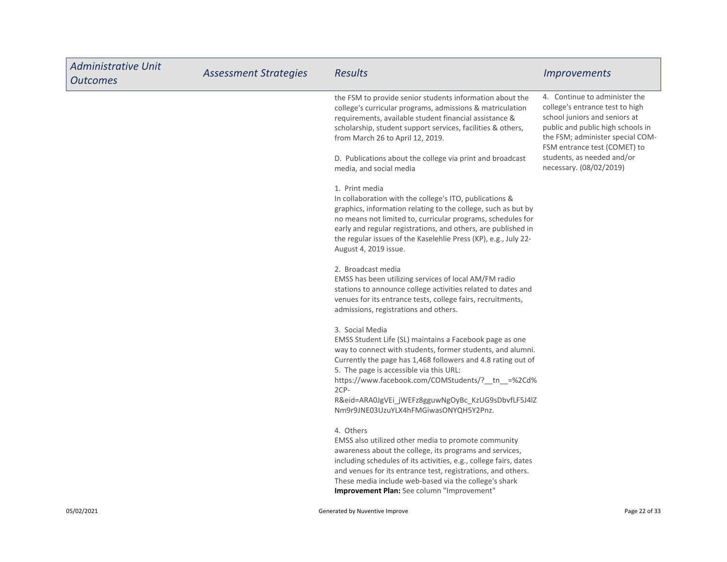| <b>Administrative Unit</b><br><b>Outcomes</b> | <b>Assessment Strategies</b> | <b>Results</b>                                                                                                                                                                                                                                                                                                                                                                                                   | <i><u><b>Improvements</b></u></i>                                                                                                                                                                                                                                   |
|-----------------------------------------------|------------------------------|------------------------------------------------------------------------------------------------------------------------------------------------------------------------------------------------------------------------------------------------------------------------------------------------------------------------------------------------------------------------------------------------------------------|---------------------------------------------------------------------------------------------------------------------------------------------------------------------------------------------------------------------------------------------------------------------|
|                                               |                              | the FSM to provide senior students information about the<br>college's curricular programs, admissions & matriculation<br>requirements, available student financial assistance &<br>scholarship, student support services, facilities & others,<br>from March 26 to April 12, 2019.<br>D. Publications about the college via print and broadcast<br>media, and social media                                       | 4. Continue to administer the<br>college's entrance test to high<br>school juniors and seniors at<br>public and public high schools in<br>the FSM; administer special COM-<br>FSM entrance test (COMET) to<br>students, as needed and/or<br>necessary. (08/02/2019) |
|                                               |                              | 1. Print media<br>In collaboration with the college's ITO, publications &<br>graphics, information relating to the college, such as but by<br>no means not limited to, curricular programs, schedules for<br>early and regular registrations, and others, are published in<br>the regular issues of the Kaselehlie Press (KP), e.g., July 22-<br>August 4, 2019 issue.                                           |                                                                                                                                                                                                                                                                     |
|                                               |                              | 2. Broadcast media<br>EMSS has been utilizing services of local AM/FM radio<br>stations to announce college activities related to dates and<br>venues for its entrance tests, college fairs, recruitments,<br>admissions, registrations and others.                                                                                                                                                              |                                                                                                                                                                                                                                                                     |
|                                               |                              | 3. Social Media<br>EMSS Student Life (SL) maintains a Facebook page as one<br>way to connect with students, former students, and alumni.<br>Currently the page has 1,468 followers and 4.8 rating out of<br>5. The page is accessible via this URL:<br>https://www.facebook.com/COMStudents/?__tn__=%2Cd%<br>2CP-<br>R&eid=ARA0JgVEi_jWEFz8gguwNgOyBc_KzUG9sDbvfLF5J4lZ<br>Nm9r9JNE03UzuYLX4hFMGiwasONYQH5Y2Pnz. |                                                                                                                                                                                                                                                                     |
|                                               |                              | 4. Others<br>EMSS also utilized other media to promote community<br>awareness about the college, its programs and services,<br>including schedules of its activities, e.g., college fairs, dates<br>and venues for its entrance test, registrations, and others.<br>These media include web-based via the college's shark<br>Improvement Plan: See column "Improvement"                                          |                                                                                                                                                                                                                                                                     |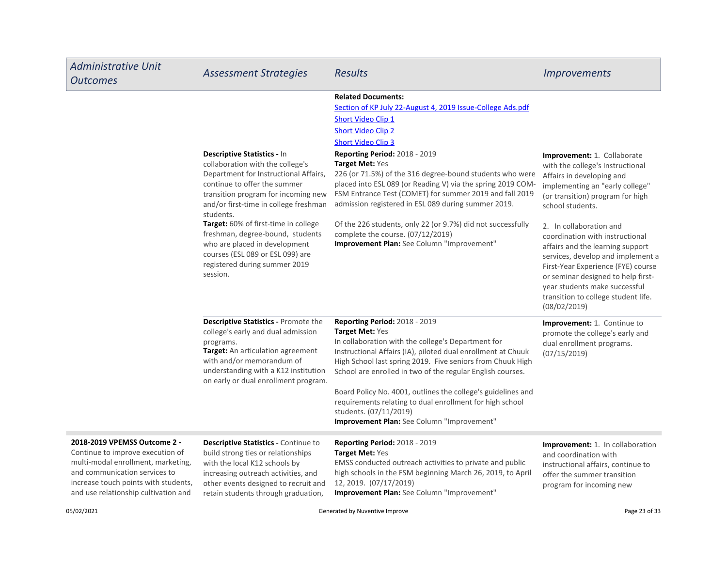| <b>Administrative Unit</b><br><b>Outcomes</b>                                                                                                                                                                           | <b>Assessment Strategies</b>                                                                                                                                                                                                                                                                                                                                                                                                               | <b>Results</b>                                                                                                                                                                                                                                                                                                                                                                                                                                                                                                                                                                                                                    | <i><u><b>Improvements</b></u></i>                                                                                                                                                                                                                                                                                                                                                                                                                                                                         |
|-------------------------------------------------------------------------------------------------------------------------------------------------------------------------------------------------------------------------|--------------------------------------------------------------------------------------------------------------------------------------------------------------------------------------------------------------------------------------------------------------------------------------------------------------------------------------------------------------------------------------------------------------------------------------------|-----------------------------------------------------------------------------------------------------------------------------------------------------------------------------------------------------------------------------------------------------------------------------------------------------------------------------------------------------------------------------------------------------------------------------------------------------------------------------------------------------------------------------------------------------------------------------------------------------------------------------------|-----------------------------------------------------------------------------------------------------------------------------------------------------------------------------------------------------------------------------------------------------------------------------------------------------------------------------------------------------------------------------------------------------------------------------------------------------------------------------------------------------------|
|                                                                                                                                                                                                                         | Descriptive Statistics - In<br>collaboration with the college's<br>Department for Instructional Affairs,<br>continue to offer the summer<br>transition program for incoming new<br>and/or first-time in college freshman<br>students.<br><b>Target:</b> 60% of first-time in college<br>freshman, degree-bound, students<br>who are placed in development<br>courses (ESL 089 or ESL 099) are<br>registered during summer 2019<br>session. | <b>Related Documents:</b><br>Section of KP July 22-August 4, 2019 Issue-College Ads.pdf<br>Short Video Clip 1<br><b>Short Video Clip 2</b><br><b>Short Video Clip 3</b><br>Reporting Period: 2018 - 2019<br><b>Target Met: Yes</b><br>226 (or 71.5%) of the 316 degree-bound students who were<br>placed into ESL 089 (or Reading V) via the spring 2019 COM-<br>FSM Entrance Test (COMET) for summer 2019 and fall 2019<br>admission registered in ESL 089 during summer 2019.<br>Of the 226 students, only 22 (or 9.7%) did not successfully<br>complete the course. (07/12/2019)<br>Improvement Plan: See Column "Improvement" | <b>Improvement: 1. Collaborate</b><br>with the college's Instructional<br>Affairs in developing and<br>implementing an "early college"<br>(or transition) program for high<br>school students.<br>2. In collaboration and<br>coordination with instructional<br>affairs and the learning support<br>services, develop and implement a<br>First-Year Experience (FYE) course<br>or seminar designed to help first-<br>year students make successful<br>transition to college student life.<br>(08/02/2019) |
|                                                                                                                                                                                                                         | Descriptive Statistics - Promote the<br>college's early and dual admission<br>programs.<br>Target: An articulation agreement<br>with and/or memorandum of<br>understanding with a K12 institution<br>on early or dual enrollment program.                                                                                                                                                                                                  | Reporting Period: 2018 - 2019<br>Target Met: Yes<br>In collaboration with the college's Department for<br>Instructional Affairs (IA), piloted dual enrollment at Chuuk<br>High School last spring 2019. Five seniors from Chuuk High<br>School are enrolled in two of the regular English courses.<br>Board Policy No. 4001, outlines the college's guidelines and<br>requirements relating to dual enrollment for high school<br>students. (07/11/2019)<br>Improvement Plan: See Column "Improvement"                                                                                                                            | Improvement: 1. Continue to<br>promote the college's early and<br>dual enrollment programs.<br>(07/15/2019)                                                                                                                                                                                                                                                                                                                                                                                               |
| 2018-2019 VPEMSS Outcome 2 -<br>Continue to improve execution of<br>multi-modal enrollment, marketing,<br>and communication services to<br>increase touch points with students,<br>and use relationship cultivation and | <b>Descriptive Statistics - Continue to</b><br>build strong ties or relationships<br>with the local K12 schools by<br>increasing outreach activities, and<br>other events designed to recruit and<br>retain students through graduation,                                                                                                                                                                                                   | <b>Reporting Period: 2018 - 2019</b><br><b>Target Met: Yes</b><br>EMSS conducted outreach activities to private and public<br>high schools in the FSM beginning March 26, 2019, to April<br>12, 2019. (07/17/2019)<br>Improvement Plan: See Column "Improvement"                                                                                                                                                                                                                                                                                                                                                                  | Improvement: 1. In collaboration<br>and coordination with<br>instructional affairs, continue to<br>offer the summer transition<br>program for incoming new                                                                                                                                                                                                                                                                                                                                                |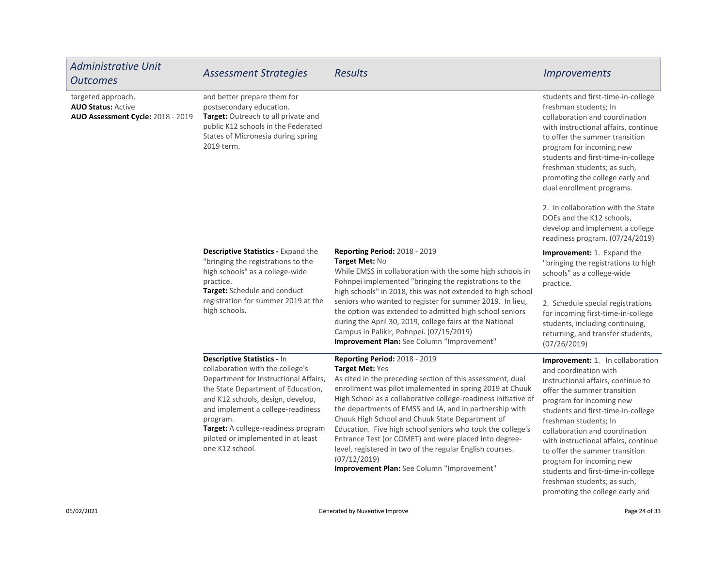| <b>Administrative Unit</b><br><b>Outcomes</b>                                        | <b>Assessment Strategies</b>                                                                                                                                                                                                                                                                                                         | <b>Results</b>                                                                                                                                                                                                                                                                                                                                                                                                                                                                                                                                                                                              | <b>Improvements</b>                                                                                                                                                                                                                                                                                                                                                                                                                    |
|--------------------------------------------------------------------------------------|--------------------------------------------------------------------------------------------------------------------------------------------------------------------------------------------------------------------------------------------------------------------------------------------------------------------------------------|-------------------------------------------------------------------------------------------------------------------------------------------------------------------------------------------------------------------------------------------------------------------------------------------------------------------------------------------------------------------------------------------------------------------------------------------------------------------------------------------------------------------------------------------------------------------------------------------------------------|----------------------------------------------------------------------------------------------------------------------------------------------------------------------------------------------------------------------------------------------------------------------------------------------------------------------------------------------------------------------------------------------------------------------------------------|
| targeted approach.<br><b>AUO Status: Active</b><br>AUO Assessment Cycle: 2018 - 2019 | and better prepare them for<br>postsecondary education.<br>Target: Outreach to all private and<br>public K12 schools in the Federated<br>States of Micronesia during spring<br>2019 term.                                                                                                                                            |                                                                                                                                                                                                                                                                                                                                                                                                                                                                                                                                                                                                             | students and first-time-in-college<br>freshman students; In<br>collaboration and coordination<br>with instructional affairs, continue<br>to offer the summer transition<br>program for incoming new<br>students and first-time-in-college<br>freshman students; as such,<br>promoting the college early and<br>dual enrollment programs.                                                                                               |
|                                                                                      |                                                                                                                                                                                                                                                                                                                                      |                                                                                                                                                                                                                                                                                                                                                                                                                                                                                                                                                                                                             | 2. In collaboration with the State<br>DOEs and the K12 schools,<br>develop and implement a college<br>readiness program. (07/24/2019)                                                                                                                                                                                                                                                                                                  |
|                                                                                      | Descriptive Statistics - Expand the<br>"bringing the registrations to the<br>high schools" as a college-wide<br>practice.<br>Target: Schedule and conduct<br>registration for summer 2019 at the<br>high schools.                                                                                                                    | <b>Reporting Period: 2018 - 2019</b><br>Target Met: No<br>While EMSS in collaboration with the some high schools in<br>Pohnpei implemented "bringing the registrations to the<br>high schools" in 2018, this was not extended to high school<br>seniors who wanted to register for summer 2019. In lieu,<br>the option was extended to admitted high school seniors<br>during the April 30, 2019, college fairs at the National<br>Campus in Palikir, Pohnpei. (07/15/2019)<br>Improvement Plan: See Column "Improvement"                                                                                   | Improvement: 1. Expand the<br>"bringing the registrations to high<br>schools" as a college-wide<br>practice.                                                                                                                                                                                                                                                                                                                           |
|                                                                                      |                                                                                                                                                                                                                                                                                                                                      |                                                                                                                                                                                                                                                                                                                                                                                                                                                                                                                                                                                                             | 2. Schedule special registrations<br>for incoming first-time-in-college<br>students, including continuing,<br>returning, and transfer students,<br>(07/26/2019)                                                                                                                                                                                                                                                                        |
|                                                                                      | Descriptive Statistics - In<br>collaboration with the college's<br>Department for Instructional Affairs,<br>the State Department of Education,<br>and K12 schools, design, develop,<br>and implement a college-readiness<br>program.<br>Target: A college-readiness program<br>piloted or implemented in at least<br>one K12 school. | Reporting Period: 2018 - 2019<br>Target Met: Yes<br>As cited in the preceding section of this assessment, dual<br>enrollment was pilot implemented in spring 2019 at Chuuk<br>High School as a collaborative college-readiness initiative of<br>the departments of EMSS and IA, and in partnership with<br>Chuuk High School and Chuuk State Department of<br>Education. Five high school seniors who took the college's<br>Entrance Test (or COMET) and were placed into degree-<br>level, registered in two of the regular English courses.<br>(07/12/2019)<br>Improvement Plan: See Column "Improvement" | Improvement: 1. In collaboration<br>and coordination with<br>instructional affairs, continue to<br>offer the summer transition<br>program for incoming new<br>students and first-time-in-college<br>freshman students; In<br>collaboration and coordination<br>with instructional affairs, continue<br>to offer the summer transition<br>program for incoming new<br>students and first-time-in-college<br>freshman students; as such, |

promoting the college early and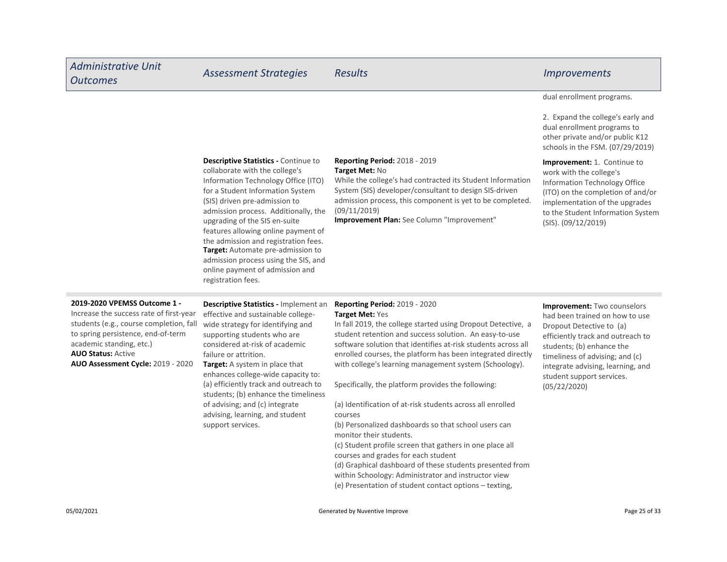#### dual enrollment programs.

2. Expand the college's early and dual enrollment programs to other private and/or public K12 schools in the FSM. (07/29/2019)

#### Descriptive Statistics - Continue to

**Target:** Automate pre-admission to admission process using the SIS, and online payment of admission and registration fees. collaborate with the college's Information Technology Office (ITO) for a Student Information System (SIS) driven pre-admission to admission process. Additionally, the upgrading of the SIS en-suite features allowing online payment of the admission and registration fees.

#### Reporting Period: 2018 - 2019 Target Met: No

While the college's had contracted its Student Information System (SIS) developer/consultant to design SIS-driven admission process, this component is yet to be completed. (09/11/2019)

Improvement Plan: See Column "Improvement"

#### Improvement: 1. Continue to work with the college's Information Technology Office (ITO) on the completion of and/or implementation of the upgrades to the Student Information System (SIS). (09/12/2019)

#### 2019-2020 VPEMSS Outcome 1 -

AUO Status: Active AUO Assessment Cycle: 2019 - 2020 Increase the success rate of first-year students (e.g., course completion, fall to spring persistence, end-of-term academic standing, etc.)

Target: A system in place that Descriptive Statistics - Implement an effective and sustainable collegewide strategy for identifying and supporting students who are considered at-risk of academic failure or attrition.

enhances college-wide capacity to: (a) efficiently track and outreach to students; (b) enhance the timeliness of advising; and (c) integrate advising, learning, and student support services.

#### Reporting Period: 2019 - 2020 Target Met: Yes

In fall 2019, the college started using Dropout Detective, a student retention and success solution. An easy-to-use software solution that identifies at-risk students across all enrolled courses, the platform has been integrated directly with college's learning management system (Schoology).

Specifically, the platform provides the following:

(a) Identification of at-risk students across all enrolled courses

(b) Personalized dashboards so that school users can monitor their students.

(c) Student profile screen that gathers in one place all courses and grades for each student

(d) Graphical dashboard of these students presented from within Schoology: Administrator and instructor view (e) Presentation of student contact options – texting,

Improvement: Two counselors had been trained on how to use Dropout Detective to (a) efficiently track and outreach to students; (b) enhance the timeliness of advising; and (c) integrate advising, learning, and student support services. (05/22/2020)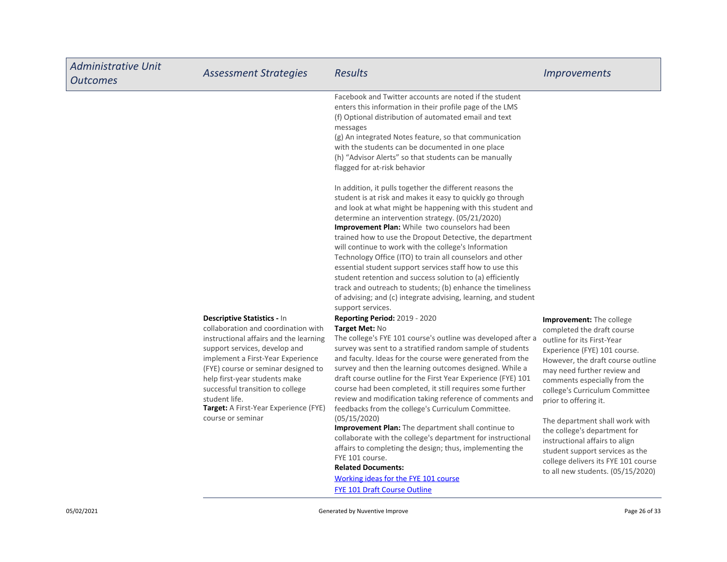| <b>Administrative Unit</b><br><b>Outcomes</b> | <b>Assessment Strategies</b>                                                                                                                                                                                                                                                                                                                                                  | <b>Results</b>                                                                                                                                                                                                                                                                                                                                                                                                                                                                                                                                                                                                                                                                                                                                                                                                                                                                                                                                                                                                                                                                                                                                                                                                                                                                                                                                                                                                                                                                                                                                                                                                                                          | <b>Improvements</b>                                                                                                                                                                                                                                                                                                                                                                                                                                                                                           |
|-----------------------------------------------|-------------------------------------------------------------------------------------------------------------------------------------------------------------------------------------------------------------------------------------------------------------------------------------------------------------------------------------------------------------------------------|---------------------------------------------------------------------------------------------------------------------------------------------------------------------------------------------------------------------------------------------------------------------------------------------------------------------------------------------------------------------------------------------------------------------------------------------------------------------------------------------------------------------------------------------------------------------------------------------------------------------------------------------------------------------------------------------------------------------------------------------------------------------------------------------------------------------------------------------------------------------------------------------------------------------------------------------------------------------------------------------------------------------------------------------------------------------------------------------------------------------------------------------------------------------------------------------------------------------------------------------------------------------------------------------------------------------------------------------------------------------------------------------------------------------------------------------------------------------------------------------------------------------------------------------------------------------------------------------------------------------------------------------------------|---------------------------------------------------------------------------------------------------------------------------------------------------------------------------------------------------------------------------------------------------------------------------------------------------------------------------------------------------------------------------------------------------------------------------------------------------------------------------------------------------------------|
|                                               |                                                                                                                                                                                                                                                                                                                                                                               | Facebook and Twitter accounts are noted if the student<br>enters this information in their profile page of the LMS<br>(f) Optional distribution of automated email and text<br>messages<br>(g) An integrated Notes feature, so that communication<br>with the students can be documented in one place<br>(h) "Advisor Alerts" so that students can be manually<br>flagged for at-risk behavior                                                                                                                                                                                                                                                                                                                                                                                                                                                                                                                                                                                                                                                                                                                                                                                                                                                                                                                                                                                                                                                                                                                                                                                                                                                          |                                                                                                                                                                                                                                                                                                                                                                                                                                                                                                               |
|                                               | Descriptive Statistics - In<br>collaboration and coordination with<br>instructional affairs and the learning<br>support services, develop and<br>implement a First-Year Experience<br>(FYE) course or seminar designed to<br>help first-year students make<br>successful transition to college<br>student life.<br>Target: A First-Year Experience (FYE)<br>course or seminar | In addition, it pulls together the different reasons the<br>student is at risk and makes it easy to quickly go through<br>and look at what might be happening with this student and<br>determine an intervention strategy. (05/21/2020)<br>Improvement Plan: While two counselors had been<br>trained how to use the Dropout Detective, the department<br>will continue to work with the college's Information<br>Technology Office (ITO) to train all counselors and other<br>essential student support services staff how to use this<br>student retention and success solution to (a) efficiently<br>track and outreach to students; (b) enhance the timeliness<br>of advising; and (c) integrate advising, learning, and student<br>support services.<br><b>Reporting Period: 2019 - 2020</b><br>Target Met: No<br>The college's FYE 101 course's outline was developed after a<br>survey was sent to a stratified random sample of students<br>and faculty. Ideas for the course were generated from the<br>survey and then the learning outcomes designed. While a<br>draft course outline for the First Year Experience (FYE) 101<br>course had been completed, it still requires some further<br>review and modification taking reference of comments and<br>feedbacks from the college's Curriculum Committee.<br>(05/15/2020)<br>Improvement Plan: The department shall continue to<br>collaborate with the college's department for instructional<br>affairs to completing the design; thus, implementing the<br>FYE 101 course.<br><b>Related Documents:</b><br>Working ideas for the FYE 101 course<br><b>FYE 101 Draft Course Outline</b> | <b>Improvement:</b> The college<br>completed the draft course<br>outline for its First-Year<br>Experience (FYE) 101 course.<br>However, the draft course outline<br>may need further review and<br>comments especially from the<br>college's Curriculum Committee<br>prior to offering it.<br>The department shall work with<br>the college's department for<br>instructional affairs to align<br>student support services as the<br>college delivers its FYE 101 course<br>to all new students. (05/15/2020) |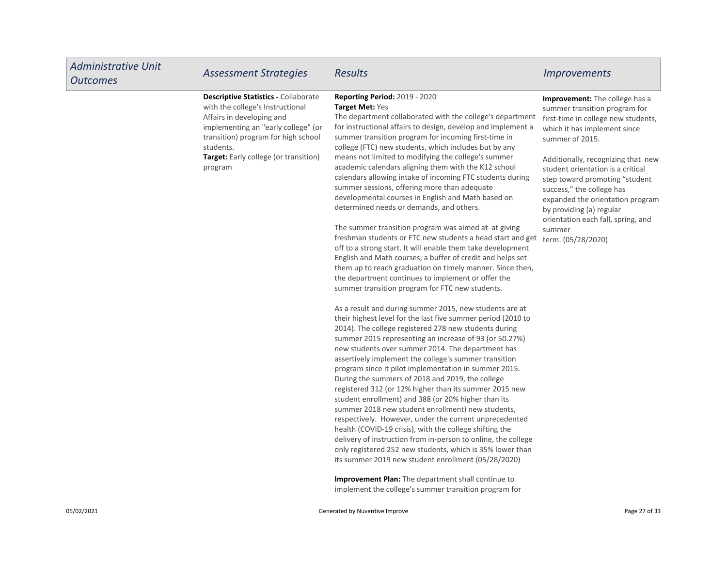| <b>Administrative Unit</b><br><b>Outcomes</b> | <b>Assessment Strategies</b>                                                                                                                                                                                                                                | <b>Results</b>                                                                                                                                                                                                                                                                                                                                                                                                                                                                                                                                                                                                                                                                                                                                                                                                                                                                                                                                                                                                                                                                                                                                                                                                                                                                                                                                                                                                                                                                                                                                                                                                                                                                                                                                                                                                                                                                                                                                                                                                                                                                                                                              | <b>Improvements</b>                                                                                                                                                                                                                                                                                                                                                                                                                        |
|-----------------------------------------------|-------------------------------------------------------------------------------------------------------------------------------------------------------------------------------------------------------------------------------------------------------------|---------------------------------------------------------------------------------------------------------------------------------------------------------------------------------------------------------------------------------------------------------------------------------------------------------------------------------------------------------------------------------------------------------------------------------------------------------------------------------------------------------------------------------------------------------------------------------------------------------------------------------------------------------------------------------------------------------------------------------------------------------------------------------------------------------------------------------------------------------------------------------------------------------------------------------------------------------------------------------------------------------------------------------------------------------------------------------------------------------------------------------------------------------------------------------------------------------------------------------------------------------------------------------------------------------------------------------------------------------------------------------------------------------------------------------------------------------------------------------------------------------------------------------------------------------------------------------------------------------------------------------------------------------------------------------------------------------------------------------------------------------------------------------------------------------------------------------------------------------------------------------------------------------------------------------------------------------------------------------------------------------------------------------------------------------------------------------------------------------------------------------------------|--------------------------------------------------------------------------------------------------------------------------------------------------------------------------------------------------------------------------------------------------------------------------------------------------------------------------------------------------------------------------------------------------------------------------------------------|
|                                               | <b>Descriptive Statistics - Collaborate</b><br>with the college's Instructional<br>Affairs in developing and<br>implementing an "early college" (or<br>transition) program for high school<br>students.<br>Target: Early college (or transition)<br>program | <b>Reporting Period: 2019 - 2020</b><br><b>Target Met: Yes</b><br>The department collaborated with the college's department<br>for instructional affairs to design, develop and implement a<br>summer transition program for incoming first-time in<br>college (FTC) new students, which includes but by any<br>means not limited to modifying the college's summer<br>academic calendars aligning them with the K12 school<br>calendars allowing intake of incoming FTC students during<br>summer sessions, offering more than adequate<br>developmental courses in English and Math based on<br>determined needs or demands, and others.<br>The summer transition program was aimed at at giving<br>freshman students or FTC new students a head start and get<br>off to a strong start. It will enable them take development<br>English and Math courses, a buffer of credit and helps set<br>them up to reach graduation on timely manner. Since then,<br>the department continues to implement or offer the<br>summer transition program for FTC new students.<br>As a result and during summer 2015, new students are at<br>their highest level for the last five summer period (2010 to<br>2014). The college registered 278 new students during<br>summer 2015 representing an increase of 93 (or 50.27%)<br>new students over summer 2014. The department has<br>assertively implement the college's summer transition<br>program since it pilot implementation in summer 2015.<br>During the summers of 2018 and 2019, the college<br>registered 312 (or 12% higher than its summer 2015 new<br>student enrollment) and 388 (or 20% higher than its<br>summer 2018 new student enrollment) new students,<br>respectively. However, under the current unprecedented<br>health (COVID-19 crisis), with the college shifting the<br>delivery of instruction from in-person to online, the college<br>only registered 252 new students, which is 35% lower than<br>its summer 2019 new student enrollment (05/28/2020)<br>Improvement Plan: The department shall continue to<br>implement the college's summer transition program for | Improvement: The college has a<br>summer transition program for<br>first-time in college new students,<br>which it has implement since<br>summer of 2015.<br>Additionally, recognizing that new<br>student orientation is a critical<br>step toward promoting "student"<br>success," the college has<br>expanded the orientation program<br>by providing (a) regular<br>orientation each fall, spring, and<br>summer<br>term. (05/28/2020) |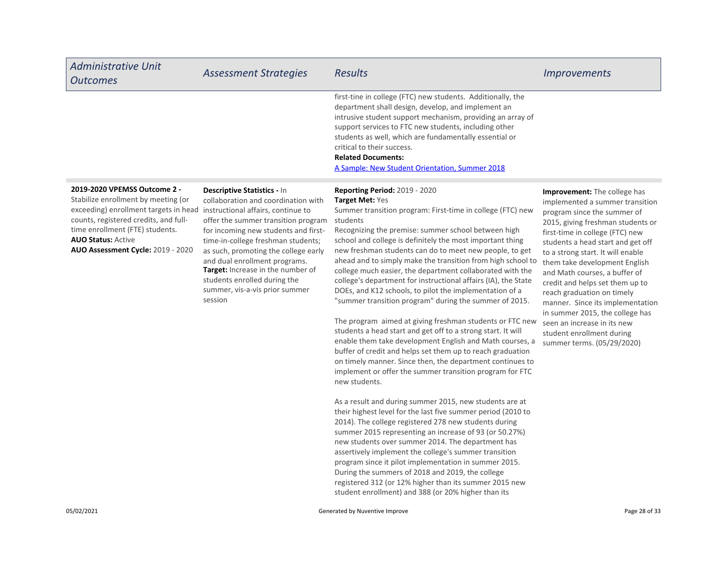| <b>Administrative Unit</b><br><b>Outcomes</b>                                                                                                                                                                                                                     | <b>Assessment Strategies</b>                                                                                                                                                                                                                                                                                                                                                                                         | <b>Results</b>                                                                                                                                                                                                                                                                                                                                                                                                                                                                                                                                                                   | <i>Improvements</i>                                                                                                                                                                                                                                                                                                                                                                        |
|-------------------------------------------------------------------------------------------------------------------------------------------------------------------------------------------------------------------------------------------------------------------|----------------------------------------------------------------------------------------------------------------------------------------------------------------------------------------------------------------------------------------------------------------------------------------------------------------------------------------------------------------------------------------------------------------------|----------------------------------------------------------------------------------------------------------------------------------------------------------------------------------------------------------------------------------------------------------------------------------------------------------------------------------------------------------------------------------------------------------------------------------------------------------------------------------------------------------------------------------------------------------------------------------|--------------------------------------------------------------------------------------------------------------------------------------------------------------------------------------------------------------------------------------------------------------------------------------------------------------------------------------------------------------------------------------------|
|                                                                                                                                                                                                                                                                   |                                                                                                                                                                                                                                                                                                                                                                                                                      | first-tine in college (FTC) new students. Additionally, the<br>department shall design, develop, and implement an<br>intrusive student support mechanism, providing an array of<br>support services to FTC new students, including other<br>students as well, which are fundamentally essential or<br>critical to their success.<br><b>Related Documents:</b><br>A Sample: New Student Orientation, Summer 2018                                                                                                                                                                  |                                                                                                                                                                                                                                                                                                                                                                                            |
| 2019-2020 VPEMSS Outcome 2 -<br>Stabilize enrollment by meeting (or<br>exceeding) enrollment targets in head<br>counts, registered credits, and full-<br>time enrollment (FTE) students.<br><b>AUO Status: Active</b><br><b>AUO Assessment Cycle: 2019 - 2020</b> | Descriptive Statistics - In<br>collaboration and coordination with<br>instructional affairs, continue to<br>offer the summer transition program<br>for incoming new students and first-<br>time-in-college freshman students;<br>as such, promoting the college early<br>and dual enrollment programs.<br><b>Target:</b> Increase in the number of<br>students enrolled during the<br>summer, vis-a-vis prior summer | <b>Reporting Period: 2019 - 2020</b><br><b>Target Met: Yes</b><br>Summer transition program: First-time in college (FTC) new<br>students<br>Recognizing the premise: summer school between high<br>school and college is definitely the most important thing<br>new freshman students can do to meet new people, to get<br>ahead and to simply make the transition from high school to<br>college much easier, the department collaborated with the<br>college's department for instructional affairs (IA), the State<br>DOEs, and K12 schools, to pilot the implementation of a | <b>Improvement:</b> The college has<br>implemented a summer transition<br>program since the summer of<br>2015, giving freshman students or<br>first-time in college (FTC) new<br>students a head start and get off<br>to a strong start. It will enable<br>them take development English<br>and Math courses, a buffer of<br>credit and helps set them up to<br>reach graduation on timely |

session

The program aimed at giving freshman students or FTC new students a head start and get off to a strong start. It will enable them take development English and Math courses, a buffer of credit and helps set them up to reach graduation on timely manner. Since then, the department continues to implement or offer the summer transition program for FTC new students.

"summer transition program" during the summer of 2015.

As a result and during summer 2015, new students are at their highest level for the last five summer period (2010 to 2014). The college registered 278 new students during summer 2015 representing an increase of 93 (or 50.27%) new students over summer 2014. The department has assertively implement the college's summer transition program since it pilot implementation in summer 2015. During the summers of 2018 and 2019, the college registered 312 (or 12% higher than its summer 2015 new student enrollment) and 388 (or 20% higher than its

reach graduation on timely manner. Since its implementation in summer 2015, the college has seen an increase in its new student enrollment during summer terms. (05/29/2020)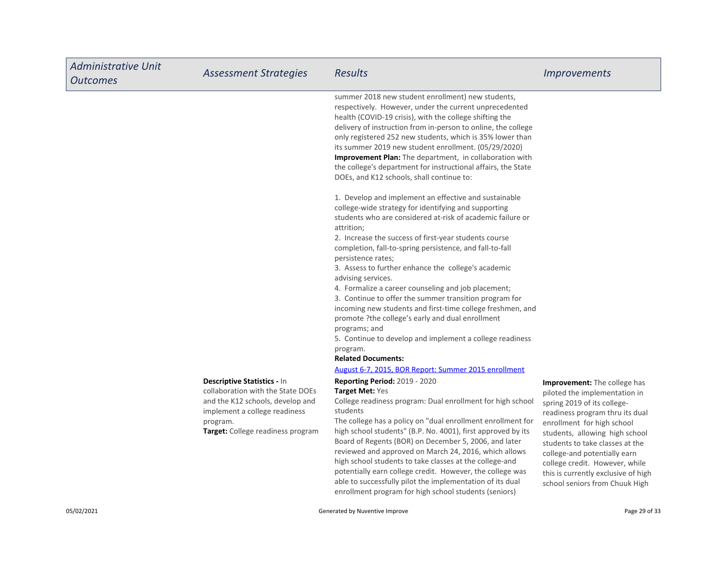| <b>Administrative Unit</b><br><b>Outcomes</b> | <b>Assessment Strategies</b>                                                                                                                                                                  | Results                                                                                                                                                                                                                                                                                                                                                                                                                                                                                                                                                                                                                                                                                                                                                                    | <i><u><b>Improvements</b></u></i>                                                                                                                                                                                                                                                                                                                                             |
|-----------------------------------------------|-----------------------------------------------------------------------------------------------------------------------------------------------------------------------------------------------|----------------------------------------------------------------------------------------------------------------------------------------------------------------------------------------------------------------------------------------------------------------------------------------------------------------------------------------------------------------------------------------------------------------------------------------------------------------------------------------------------------------------------------------------------------------------------------------------------------------------------------------------------------------------------------------------------------------------------------------------------------------------------|-------------------------------------------------------------------------------------------------------------------------------------------------------------------------------------------------------------------------------------------------------------------------------------------------------------------------------------------------------------------------------|
|                                               |                                                                                                                                                                                               | summer 2018 new student enrollment) new students,<br>respectively. However, under the current unprecedented<br>health (COVID-19 crisis), with the college shifting the<br>delivery of instruction from in-person to online, the college<br>only registered 252 new students, which is 35% lower than<br>its summer 2019 new student enrollment. (05/29/2020)<br>Improvement Plan: The department, in collaboration with<br>the college's department for instructional affairs, the State<br>DOEs, and K12 schools, shall continue to:                                                                                                                                                                                                                                      |                                                                                                                                                                                                                                                                                                                                                                               |
|                                               |                                                                                                                                                                                               | 1. Develop and implement an effective and sustainable<br>college-wide strategy for identifying and supporting<br>students who are considered at-risk of academic failure or<br>attrition:<br>2. Increase the success of first-year students course<br>completion, fall-to-spring persistence, and fall-to-fall<br>persistence rates;<br>3. Assess to further enhance the college's academic<br>advising services.<br>4. Formalize a career counseling and job placement;<br>3. Continue to offer the summer transition program for<br>incoming new students and first-time college freshmen, and<br>promote ?the college's early and dual enrollment<br>programs; and<br>5. Continue to develop and implement a college readiness<br>program.<br><b>Related Documents:</b> |                                                                                                                                                                                                                                                                                                                                                                               |
|                                               |                                                                                                                                                                                               | August 6-7, 2015, BOR Report: Summer 2015 enrollment                                                                                                                                                                                                                                                                                                                                                                                                                                                                                                                                                                                                                                                                                                                       |                                                                                                                                                                                                                                                                                                                                                                               |
|                                               | <b>Descriptive Statistics - In</b><br>collaboration with the State DOEs<br>and the K12 schools, develop and<br>implement a college readiness<br>program.<br>Target: College readiness program | <b>Reporting Period: 2019 - 2020</b><br>Target Met: Yes<br>College readiness program: Dual enrollment for high school<br>students<br>The college has a policy on "dual enrollment enrollment for<br>high school students" (B.P. No. 4001), first approved by its<br>Board of Regents (BOR) on December 5, 2006, and later<br>reviewed and approved on March 24, 2016, which allows<br>high school students to take classes at the college-and<br>potentially earn college credit. However, the college was<br>able to successfully pilot the implementation of its dual<br>enrollment program for high school students (seniors)                                                                                                                                           | Improvement: The college has<br>piloted the implementation in<br>spring 2019 of its college-<br>readiness program thru its dual<br>enrollment for high school<br>students, allowing high school<br>students to take classes at the<br>college-and potentially earn<br>college credit. However, while<br>this is currently exclusive of high<br>school seniors from Chuuk High |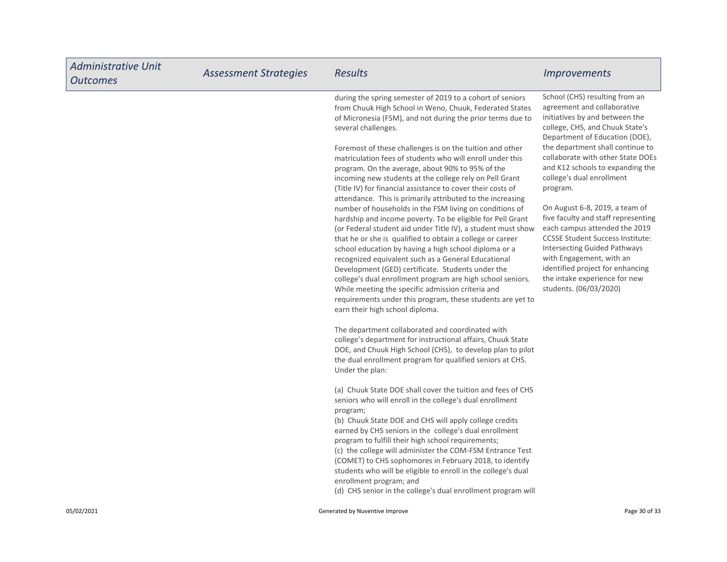| <b>Administrative Unit</b><br><b>Outcomes</b> | <b>Assessment Strategies</b> | <b>Results</b>                                                                                                                                                                                                                                                                                                                                                                                                                                                                                                                                                                                                                                                                                                                                                                                                                                                                                                                                                                                                                                                                                                                                                                                                                                                                                                                                                                                                                                                                                                                                                                                                                                                                                  | <i>Improvements</i>                                                                                                                                                                                                                                                                                                                                                                                                                                                                                                                                                                                                                               |
|-----------------------------------------------|------------------------------|-------------------------------------------------------------------------------------------------------------------------------------------------------------------------------------------------------------------------------------------------------------------------------------------------------------------------------------------------------------------------------------------------------------------------------------------------------------------------------------------------------------------------------------------------------------------------------------------------------------------------------------------------------------------------------------------------------------------------------------------------------------------------------------------------------------------------------------------------------------------------------------------------------------------------------------------------------------------------------------------------------------------------------------------------------------------------------------------------------------------------------------------------------------------------------------------------------------------------------------------------------------------------------------------------------------------------------------------------------------------------------------------------------------------------------------------------------------------------------------------------------------------------------------------------------------------------------------------------------------------------------------------------------------------------------------------------|---------------------------------------------------------------------------------------------------------------------------------------------------------------------------------------------------------------------------------------------------------------------------------------------------------------------------------------------------------------------------------------------------------------------------------------------------------------------------------------------------------------------------------------------------------------------------------------------------------------------------------------------------|
|                                               |                              | during the spring semester of 2019 to a cohort of seniors<br>from Chuuk High School in Weno, Chuuk, Federated States<br>of Micronesia (FSM), and not during the prior terms due to<br>several challenges.<br>Foremost of these challenges is on the tuition and other<br>matriculation fees of students who will enroll under this<br>program. On the average, about 90% to 95% of the<br>incoming new students at the college rely on Pell Grant<br>(Title IV) for financial assistance to cover their costs of<br>attendance. This is primarily attributed to the increasing<br>number of households in the FSM living on conditions of<br>hardship and income poverty. To be eligible for Pell Grant<br>(or Federal student aid under Title IV), a student must show<br>that he or she is qualified to obtain a college or career<br>school education by having a high school diploma or a<br>recognized equivalent such as a General Educational<br>Development (GED) certificate. Students under the<br>college's dual enrollment program are high school seniors.<br>While meeting the specific admission criteria and<br>requirements under this program, these students are yet to<br>earn their high school diploma.<br>The department collaborated and coordinated with<br>college's department for instructional affairs, Chuuk State<br>DOE, and Chuuk High School (CHS), to develop plan to pilot<br>the dual enrollment program for qualified seniors at CHS.<br>Under the plan:<br>(a) Chuuk State DOE shall cover the tuition and fees of CHS<br>seniors who will enroll in the college's dual enrollment<br>program;<br>(b) Chuuk State DOE and CHS will apply college credits | School (CHS) resulting from an<br>agreement and collaborative<br>initiatives by and between the<br>college, CHS, and Chuuk State's<br>Department of Education (DOE),<br>the department shall continue to<br>collaborate with other State DOEs<br>and K12 schools to expanding the<br>college's dual enrollment<br>program.<br>On August 6-8, 2019, a team of<br>five faculty and staff representing<br>each campus attended the 2019<br><b>CCSSE Student Success Institute:</b><br><b>Intersecting Guided Pathways</b><br>with Engagement, with an<br>identified project for enhancing<br>the intake experience for new<br>students. (06/03/2020) |
|                                               |                              | earned by CHS seniors in the college's dual enrollment<br>program to fulfill their high school requirements;<br>(c) the college will administer the COM-FSM Entrance Test<br>(COMET) to CHS sophomores in February 2018, to identify<br>students who will be eligible to enroll in the college's dual<br>enrollment program; and<br>(d) CHS senior in the college's dual enrollment program will                                                                                                                                                                                                                                                                                                                                                                                                                                                                                                                                                                                                                                                                                                                                                                                                                                                                                                                                                                                                                                                                                                                                                                                                                                                                                                |                                                                                                                                                                                                                                                                                                                                                                                                                                                                                                                                                                                                                                                   |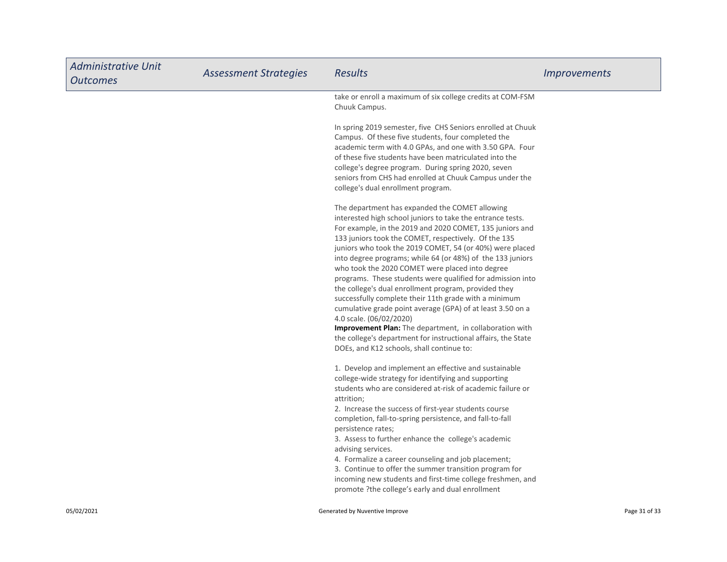| <b>Administrative Unit</b><br><b>Outcomes</b> | <b>Assessment Strategies</b> | <b>Results</b>                                                                                                                                                                                                                                                                                                                                                                                                                                                                                                                                                                                                                                                                                                                                                                                                                                                 | <i>Improvements</i> |
|-----------------------------------------------|------------------------------|----------------------------------------------------------------------------------------------------------------------------------------------------------------------------------------------------------------------------------------------------------------------------------------------------------------------------------------------------------------------------------------------------------------------------------------------------------------------------------------------------------------------------------------------------------------------------------------------------------------------------------------------------------------------------------------------------------------------------------------------------------------------------------------------------------------------------------------------------------------|---------------------|
|                                               |                              | take or enroll a maximum of six college credits at COM-FSM<br>Chuuk Campus.                                                                                                                                                                                                                                                                                                                                                                                                                                                                                                                                                                                                                                                                                                                                                                                    |                     |
|                                               |                              | In spring 2019 semester, five CHS Seniors enrolled at Chuuk<br>Campus. Of these five students, four completed the<br>academic term with 4.0 GPAs, and one with 3.50 GPA. Four<br>of these five students have been matriculated into the<br>college's degree program. During spring 2020, seven<br>seniors from CHS had enrolled at Chuuk Campus under the<br>college's dual enrollment program.                                                                                                                                                                                                                                                                                                                                                                                                                                                                |                     |
|                                               |                              | The department has expanded the COMET allowing<br>interested high school juniors to take the entrance tests.<br>For example, in the 2019 and 2020 COMET, 135 juniors and<br>133 juniors took the COMET, respectively. Of the 135<br>juniors who took the 2019 COMET, 54 (or 40%) were placed<br>into degree programs; while 64 (or 48%) of the 133 juniors<br>who took the 2020 COMET were placed into degree<br>programs. These students were qualified for admission into<br>the college's dual enrollment program, provided they<br>successfully complete their 11th grade with a minimum<br>cumulative grade point average (GPA) of at least 3.50 on a<br>4.0 scale. (06/02/2020)<br>Improvement Plan: The department, in collaboration with<br>the college's department for instructional affairs, the State<br>DOEs, and K12 schools, shall continue to: |                     |
|                                               |                              | 1. Develop and implement an effective and sustainable<br>college-wide strategy for identifying and supporting<br>students who are considered at-risk of academic failure or<br>attrition;<br>2. Increase the success of first-year students course<br>completion, fall-to-spring persistence, and fall-to-fall<br>persistence rates;<br>3. Assess to further enhance the college's academic<br>advising services.<br>4. Formalize a career counseling and job placement;<br>3. Continue to offer the summer transition program for<br>incoming new students and first-time college freshmen, and<br>promote ?the college's early and dual enrollment                                                                                                                                                                                                           |                     |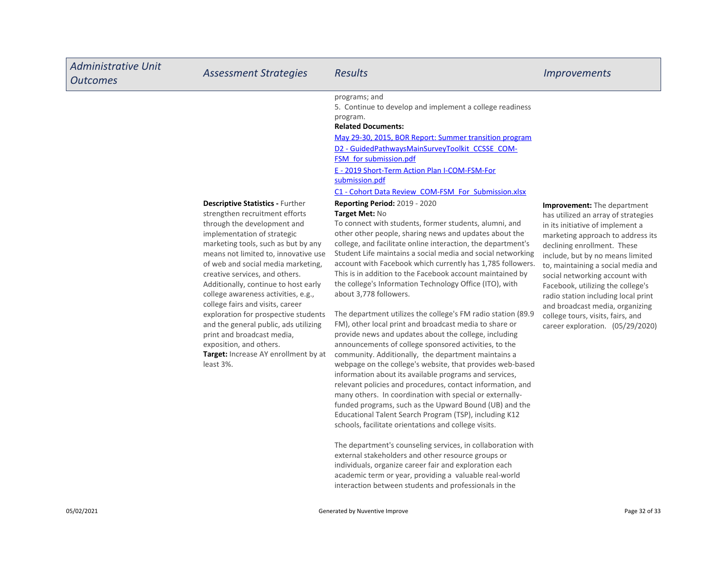| <b>Administrative Unit</b><br><b>Outcomes</b> | <b>Assessment Strategies</b>                                                                                                                                                                                                                                                                                                                                                                                                                                                                                                                                                                                     | <b>Results</b>                                                                                                                                                                                                                                                                                                                                                                                                                                                                                                                                                                                                                                                                                                                                                                                                                                                                                                                                                                                                                                                                                                                                                                                                                                                                                                                                                                                                                                                                                                                                                                                                                                                                                                                                                                                                                                                                                                                                            | <i><u><b>Improvements</b></u></i>                                                                                                                                                                                                                                                                                                                                                                                                                                              |
|-----------------------------------------------|------------------------------------------------------------------------------------------------------------------------------------------------------------------------------------------------------------------------------------------------------------------------------------------------------------------------------------------------------------------------------------------------------------------------------------------------------------------------------------------------------------------------------------------------------------------------------------------------------------------|-----------------------------------------------------------------------------------------------------------------------------------------------------------------------------------------------------------------------------------------------------------------------------------------------------------------------------------------------------------------------------------------------------------------------------------------------------------------------------------------------------------------------------------------------------------------------------------------------------------------------------------------------------------------------------------------------------------------------------------------------------------------------------------------------------------------------------------------------------------------------------------------------------------------------------------------------------------------------------------------------------------------------------------------------------------------------------------------------------------------------------------------------------------------------------------------------------------------------------------------------------------------------------------------------------------------------------------------------------------------------------------------------------------------------------------------------------------------------------------------------------------------------------------------------------------------------------------------------------------------------------------------------------------------------------------------------------------------------------------------------------------------------------------------------------------------------------------------------------------------------------------------------------------------------------------------------------------|--------------------------------------------------------------------------------------------------------------------------------------------------------------------------------------------------------------------------------------------------------------------------------------------------------------------------------------------------------------------------------------------------------------------------------------------------------------------------------|
|                                               | <b>Descriptive Statistics - Further</b><br>strengthen recruitment efforts<br>through the development and<br>implementation of strategic<br>marketing tools, such as but by any<br>means not limited to, innovative use<br>of web and social media marketing,<br>creative services, and others.<br>Additionally, continue to host early<br>college awareness activities, e.g.,<br>college fairs and visits, career<br>exploration for prospective students<br>and the general public, ads utilizing<br>print and broadcast media,<br>exposition, and others.<br>Target: Increase AY enrollment by at<br>least 3%. | programs; and<br>5. Continue to develop and implement a college readiness<br>program.<br><b>Related Documents:</b><br>May 29-30, 2015, BOR Report: Summer transition program<br>D2 - GuidedPathwaysMainSurveyToolkit CCSSE COM-<br><b>FSM_for submission.pdf</b><br>E - 2019 Short-Term Action Plan I-COM-FSM-For<br>submission.pdf<br>C1 - Cohort Data Review COM-FSM For Submission.xlsx<br><b>Reporting Period: 2019 - 2020</b><br>Target Met: No<br>To connect with students, former students, alumni, and<br>other other people, sharing news and updates about the<br>college, and facilitate online interaction, the department's<br>Student Life maintains a social media and social networking<br>account with Facebook which currently has 1,785 followers.<br>This is in addition to the Facebook account maintained by<br>the college's Information Technology Office (ITO), with<br>about 3,778 followers.<br>The department utilizes the college's FM radio station (89.9<br>FM), other local print and broadcast media to share or<br>provide news and updates about the college, including<br>announcements of college sponsored activities, to the<br>community. Additionally, the department maintains a<br>webpage on the college's website, that provides web-based<br>information about its available programs and services,<br>relevant policies and procedures, contact information, and<br>many others. In coordination with special or externally-<br>funded programs, such as the Upward Bound (UB) and the<br>Educational Talent Search Program (TSP), including K12<br>schools, facilitate orientations and college visits.<br>The department's counseling services, in collaboration with<br>external stakeholders and other resource groups or<br>individuals, organize career fair and exploration each<br>academic term or year, providing a valuable real-world<br>interaction between students and professionals in the | Improvement: The department<br>has utilized an array of strategies<br>in its initiative of implement a<br>marketing approach to address its<br>declining enrollment. These<br>include, but by no means limited<br>to, maintaining a social media and<br>social networking account with<br>Facebook, utilizing the college's<br>radio station including local print<br>and broadcast media, organizing<br>college tours, visits, fairs, and<br>career exploration. (05/29/2020) |